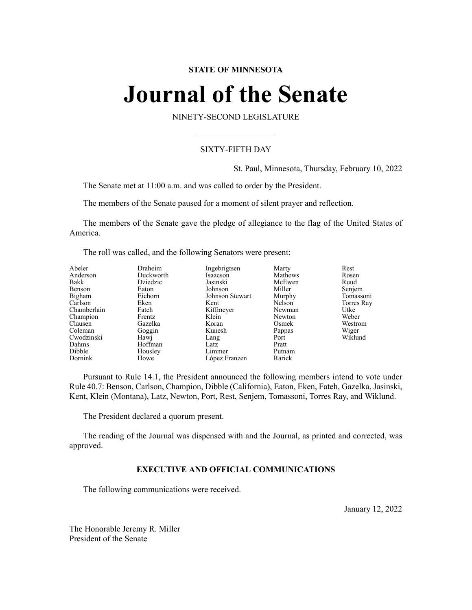# **STATE OF MINNESOTA**

# **Journal of the Senate**

NINETY-SECOND LEGISLATURE

# SIXTY-FIFTH DAY

St. Paul, Minnesota, Thursday, February 10, 2022

The Senate met at 11:00 a.m. and was called to order by the President.

The members of the Senate paused for a moment of silent prayer and reflection.

The members of the Senate gave the pledge of allegiance to the flag of the United States of America.

The roll was called, and the following Senators were present:

| Abeler      | Draheim   | Ingebrigtsen    | Marty   | Rest       |
|-------------|-----------|-----------------|---------|------------|
| Anderson    | Duckworth | Isaacson        | Mathews | Rosen      |
| Bakk        | Dziedzic  | Jasinski        | McEwen  | Ruud       |
| Benson      | Eaton     | Johnson         | Miller  | Senjem     |
| Bigham      | Eichorn   | Johnson Stewart | Murphy  | Tomassoni  |
| Carlson     | Eken      | Kent            | Nelson  | Torres Ray |
| Chamberlain | Fateh     | Kiffmeyer       | Newman  | Utke       |
| Champion    | Frentz    | Klein           | Newton  | Weber      |
| Clausen     | Gazelka   | Koran           | Osmek   | Westrom    |
| Coleman     | Goggin    | Kunesh          | Pappas  | Wiger      |
| Cwodzinski  | Hawj      | Lang            | Port    | Wiklund    |
| Dahms       | Hoffman   | Latz            | Pratt   |            |
| Dibble      | Housley   | Limmer          | Putnam  |            |
| Dornink     | Howe      | López Franzen   | Rarick  |            |

Pursuant to Rule 14.1, the President announced the following members intend to vote under Rule 40.7: Benson, Carlson, Champion, Dibble (California), Eaton, Eken, Fateh, Gazelka, Jasinski, Kent, Klein (Montana), Latz, Newton, Port, Rest, Senjem, Tomassoni, Torres Ray, and Wiklund.

The President declared a quorum present.

The reading of the Journal was dispensed with and the Journal, as printed and corrected, was approved.

# **EXECUTIVE AND OFFICIAL COMMUNICATIONS**

The following communications were received.

January 12, 2022

The Honorable Jeremy R. Miller President of the Senate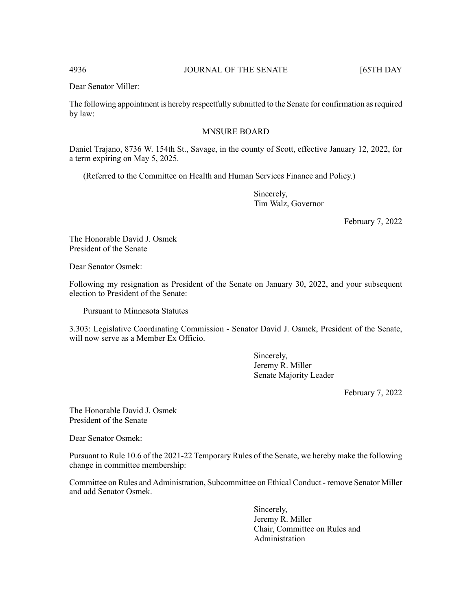Dear Senator Miller:

The following appointment is hereby respectfully submitted to the Senate for confirmation asrequired by law:

# MNSURE BOARD

Daniel Trajano, 8736 W. 154th St., Savage, in the county of Scott, effective January 12, 2022, for a term expiring on May 5, 2025.

(Referred to the Committee on Health and Human Services Finance and Policy.)

Sincerely, Tim Walz, Governor

February 7, 2022

The Honorable David J. Osmek President of the Senate

Dear Senator Osmek:

Following my resignation as President of the Senate on January 30, 2022, and your subsequent election to President of the Senate:

Pursuant to Minnesota Statutes

3.303: Legislative Coordinating Commission - Senator David J. Osmek, President of the Senate, will now serve as a Member Ex Officio.

> Sincerely, Jeremy R. Miller Senate Majority Leader

> > February 7, 2022

The Honorable David J. Osmek President of the Senate

Dear Senator Osmek:

Pursuant to Rule 10.6 of the 2021-22 Temporary Rules of the Senate, we hereby make the following change in committee membership:

Committee on Rules and Administration, Subcommittee on Ethical Conduct - remove Senator Miller and add Senator Osmek.

> Sincerely, Jeremy R. Miller Chair, Committee on Rules and Administration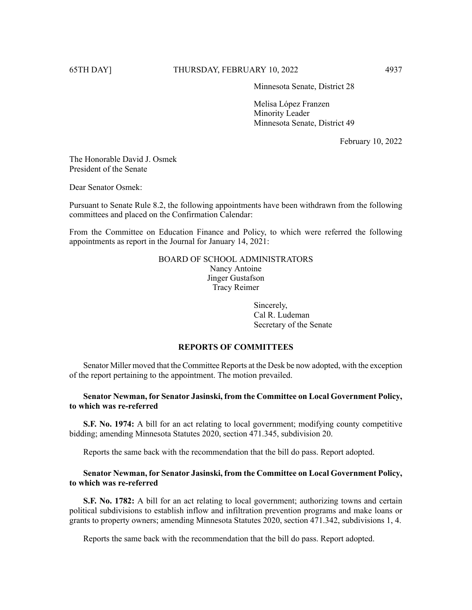Minnesota Senate, District 28

Melisa López Franzen Minority Leader Minnesota Senate, District 49

February 10, 2022

The Honorable David J. Osmek President of the Senate

Dear Senator Osmek:

Pursuant to Senate Rule 8.2, the following appointments have been withdrawn from the following committees and placed on the Confirmation Calendar:

From the Committee on Education Finance and Policy, to which were referred the following appointments as report in the Journal for January 14, 2021:

> BOARD OF SCHOOL ADMINISTRATORS Nancy Antoine Jinger Gustafson Tracy Reimer

> > Sincerely, Cal R. Ludeman Secretary of the Senate

# **REPORTS OF COMMITTEES**

Senator Miller moved that the Committee Reports at the Desk be now adopted, with the exception of the report pertaining to the appointment. The motion prevailed.

# **Senator Newman, for Senator Jasinski, from the Committee on Local Government Policy, to which was re-referred**

**S.F. No. 1974:** A bill for an act relating to local government; modifying county competitive bidding; amending Minnesota Statutes 2020, section 471.345, subdivision 20.

Reports the same back with the recommendation that the bill do pass. Report adopted.

# **Senator Newman, for Senator Jasinski, from the Committee on Local Government Policy, to which was re-referred**

**S.F. No. 1782:** A bill for an act relating to local government; authorizing towns and certain political subdivisions to establish inflow and infiltration prevention programs and make loans or grants to property owners; amending Minnesota Statutes 2020, section 471.342, subdivisions 1, 4.

Reports the same back with the recommendation that the bill do pass. Report adopted.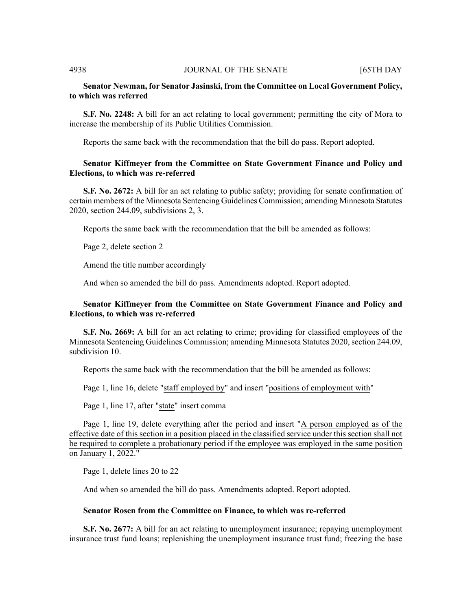# **Senator Newman, for Senator Jasinski, from the Committee on Local Government Policy, to which was referred**

**S.F. No. 2248:** A bill for an act relating to local government; permitting the city of Mora to increase the membership of its Public Utilities Commission.

Reports the same back with the recommendation that the bill do pass. Report adopted.

# **Senator Kiffmeyer from the Committee on State Government Finance and Policy and Elections, to which was re-referred**

**S.F. No. 2672:** A bill for an act relating to public safety; providing for senate confirmation of certain members of the Minnesota Sentencing Guidelines Commission; amending Minnesota Statutes 2020, section 244.09, subdivisions 2, 3.

Reports the same back with the recommendation that the bill be amended as follows:

Page 2, delete section 2

Amend the title number accordingly

And when so amended the bill do pass. Amendments adopted. Report adopted.

# **Senator Kiffmeyer from the Committee on State Government Finance and Policy and Elections, to which was re-referred**

**S.F. No. 2669:** A bill for an act relating to crime; providing for classified employees of the Minnesota Sentencing Guidelines Commission; amending Minnesota Statutes 2020, section 244.09, subdivision 10.

Reports the same back with the recommendation that the bill be amended as follows:

Page 1, line 16, delete "staff employed by" and insert "positions of employment with"

Page 1, line 17, after "state" insert comma

Page 1, line 19, delete everything after the period and insert "A person employed as of the effective date of this section in a position placed in the classified service under this section shall not be required to complete a probationary period if the employee was employed in the same position on January 1, 2022."

Page 1, delete lines 20 to 22

And when so amended the bill do pass. Amendments adopted. Report adopted.

#### **Senator Rosen from the Committee on Finance, to which was re-referred**

**S.F. No. 2677:** A bill for an act relating to unemployment insurance; repaying unemployment insurance trust fund loans; replenishing the unemployment insurance trust fund; freezing the base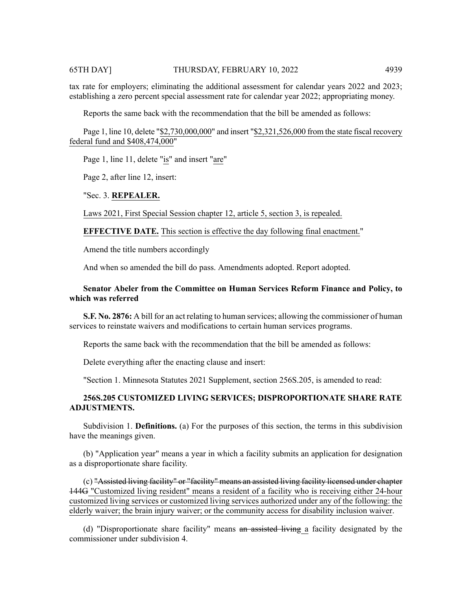tax rate for employers; eliminating the additional assessment for calendar years 2022 and 2023; establishing a zero percent special assessment rate for calendar year 2022; appropriating money.

Reports the same back with the recommendation that the bill be amended as follows:

Page 1, line 10, delete "\$2,730,000,000" and insert "\$2,321,526,000 from the state fiscal recovery federal fund and \$408,474,000"

Page 1, line 11, delete "is" and insert "are"

Page 2, after line 12, insert:

# "Sec. 3. **REPEALER.**

Laws 2021, First Special Session chapter 12, article 5, section 3, is repealed.

**EFFECTIVE DATE.** This section is effective the day following final enactment."

Amend the title numbers accordingly

And when so amended the bill do pass. Amendments adopted. Report adopted.

# **Senator Abeler from the Committee on Human Services Reform Finance and Policy, to which was referred**

**S.F. No. 2876:** A bill for an act relating to human services; allowing the commissioner of human services to reinstate waivers and modifications to certain human services programs.

Reports the same back with the recommendation that the bill be amended as follows:

Delete everything after the enacting clause and insert:

"Section 1. Minnesota Statutes 2021 Supplement, section 256S.205, is amended to read:

# **256S.205 CUSTOMIZED LIVING SERVICES; DISPROPORTIONATE SHARE RATE ADJUSTMENTS.**

Subdivision 1. **Definitions.** (a) For the purposes of this section, the terms in this subdivision have the meanings given.

(b) "Application year" means a year in which a facility submits an application for designation as a disproportionate share facility.

(c) "Assisted living facility" or "facility" means an assisted living facility licensed under chapter 144G "Customized living resident" means a resident of a facility who is receiving either 24-hour customized living services or customized living services authorized under any of the following: the elderly waiver; the brain injury waiver; or the community access for disability inclusion waiver.

(d) "Disproportionate share facility" means an assisted living a facility designated by the commissioner under subdivision 4.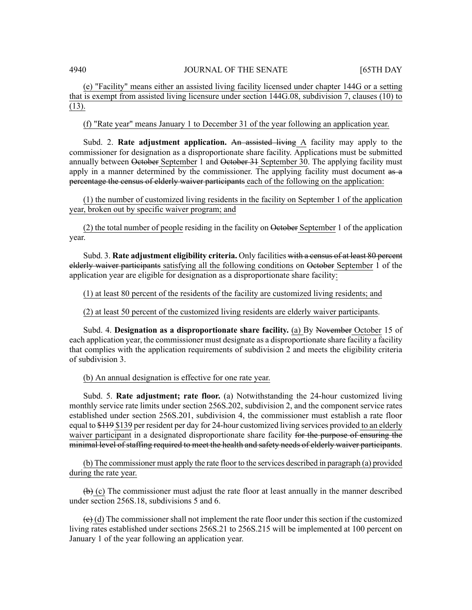(e) "Facility" means either an assisted living facility licensed under chapter 144G or a setting that is exempt from assisted living licensure under section 144G.08, subdivision 7, clauses (10) to (13).

(f) "Rate year" means January 1 to December 31 of the year following an application year.

Subd. 2. **Rate adjustment application.** An assisted living A facility may apply to the commissioner for designation as a disproportionate share facility. Applications must be submitted annually between October September 1 and October 31 September 30. The applying facility must apply in a manner determined by the commissioner. The applying facility must document  $\overline{a}$ percentage the census of elderly waiver participants each of the following on the application:

(1) the number of customized living residents in the facility on September 1 of the application year, broken out by specific waiver program; and

(2) the total number of people residing in the facility on October September 1 of the application year.

Subd. 3. **Rate adjustment eligibility criteria.** Only facilities with a census of at least 80 percent elderly waiver participants satisfying all the following conditions on October September 1 of the application year are eligible for designation as a disproportionate share facility:

(1) at least 80 percent of the residents of the facility are customized living residents; and

(2) at least 50 percent of the customized living residents are elderly waiver participants.

Subd. 4. **Designation as a disproportionate share facility.** (a) By November October 15 of each application year, the commissioner must designate as a disproportionate share facility a facility that complies with the application requirements of subdivision 2 and meets the eligibility criteria of subdivision 3.

(b) An annual designation is effective for one rate year.

Subd. 5. **Rate adjustment; rate floor.** (a) Notwithstanding the 24-hour customized living monthly service rate limits under section 256S.202, subdivision 2, and the component service rates established under section 256S.201, subdivision 4, the commissioner must establish a rate floor equal to \$119 \$139 per resident per day for 24-hour customized living services provided to an elderly waiver participant in a designated disproportionate share facility for the purpose of ensuring the minimal level of staffing required to meet the health and safety needs of elderly waiver participants.

(b) The commissioner must apply the rate floor to the services described in paragraph (a) provided during the rate year.

 $\left(\rightarrow\right)$  (c) The commissioner must adjust the rate floor at least annually in the manner described under section 256S.18, subdivisions 5 and 6.

 $\leftrightarrow$  (d) The commissioner shall not implement the rate floor under this section if the customized living rates established under sections 256S.21 to 256S.215 will be implemented at 100 percent on January 1 of the year following an application year.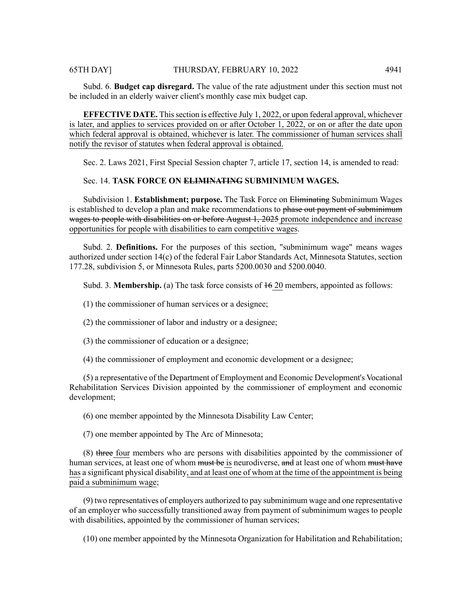Subd. 6. **Budget cap disregard.** The value of the rate adjustment under this section must not be included in an elderly waiver client's monthly case mix budget cap.

**EFFECTIVE DATE.** This section is effective July 1, 2022, or upon federal approval, whichever is later, and applies to services provided on or after October 1, 2022, or on or after the date upon which federal approval is obtained, whichever is later. The commissioner of human services shall notify the revisor of statutes when federal approval is obtained.

Sec. 2. Laws 2021, First Special Session chapter 7, article 17, section 14, is amended to read:

# Sec. 14. **TASK FORCE ON ELIMINATING SUBMINIMUM WAGES.**

Subdivision 1. **Establishment; purpose.** The Task Force on Eliminating Subminimum Wages is established to develop a plan and make recommendations to phase out payment of subminimum wages to people with disabilities on or before August 1, 2025 promote independence and increase opportunities for people with disabilities to earn competitive wages.

Subd. 2. **Definitions.** For the purposes of this section, "subminimum wage" means wages authorized under section 14(c) of the federal Fair Labor Standards Act, Minnesota Statutes, section 177.28, subdivision 5, or Minnesota Rules, parts 5200.0030 and 5200.0040.

Subd. 3. **Membership.** (a) The task force consists of 16 20 members, appointed as follows:

- (1) the commissioner of human services or a designee;
- (2) the commissioner of labor and industry or a designee;
- (3) the commissioner of education or a designee;
- (4) the commissioner of employment and economic development or a designee;

(5) a representative of the Department of Employment and Economic Development's Vocational Rehabilitation Services Division appointed by the commissioner of employment and economic development;

(6) one member appointed by the Minnesota Disability Law Center;

(7) one member appointed by The Arc of Minnesota;

(8) three four members who are persons with disabilities appointed by the commissioner of human services, at least one of whom must be is neurodiverse, and at least one of whom must have has a significant physical disability, and at least one of whom at the time of the appointment is being paid a subminimum wage;

(9) two representatives of employers authorized to pay subminimum wage and one representative of an employer who successfully transitioned away from payment of subminimum wages to people with disabilities, appointed by the commissioner of human services;

(10) one member appointed by the Minnesota Organization for Habilitation and Rehabilitation;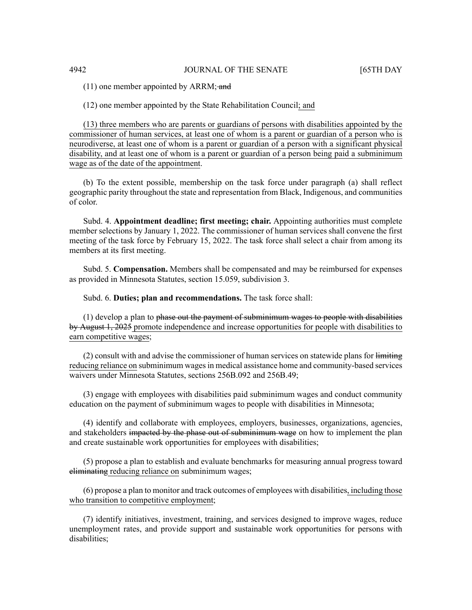$(11)$  one member appointed by ARRM; and

(12) one member appointed by the State Rehabilitation Council; and

(13) three members who are parents or guardians of persons with disabilities appointed by the commissioner of human services, at least one of whom is a parent or guardian of a person who is neurodiverse, at least one of whom is a parent or guardian of a person with a significant physical disability, and at least one of whom is a parent or guardian of a person being paid a subminimum wage as of the date of the appointment.

(b) To the extent possible, membership on the task force under paragraph (a) shall reflect geographic parity throughout the state and representation from Black, Indigenous, and communities of color.

Subd. 4. **Appointment deadline; first meeting; chair.** Appointing authorities must complete member selections by January 1, 2022. The commissioner of human services shall convene the first meeting of the task force by February 15, 2022. The task force shall select a chair from among its members at its first meeting.

Subd. 5. **Compensation.** Members shall be compensated and may be reimbursed for expenses as provided in Minnesota Statutes, section 15.059, subdivision 3.

Subd. 6. **Duties; plan and recommendations.** The task force shall:

 $(1)$  develop a plan to phase out the payment of subminimum wages to people with disabilities by August 1, 2025 promote independence and increase opportunities for people with disabilities to earn competitive wages;

 $(2)$  consult with and advise the commissioner of human services on statewide plans for  $\frac{1}{2}$ reducing reliance on subminimum wages in medical assistance home and community-based services waivers under Minnesota Statutes, sections 256B.092 and 256B.49;

(3) engage with employees with disabilities paid subminimum wages and conduct community education on the payment of subminimum wages to people with disabilities in Minnesota;

(4) identify and collaborate with employees, employers, businesses, organizations, agencies, and stakeholders impacted by the phase out of subminimum wage on how to implement the plan and create sustainable work opportunities for employees with disabilities;

(5) propose a plan to establish and evaluate benchmarks for measuring annual progress toward eliminating reducing reliance on subminimum wages;

(6) propose a plan to monitor and track outcomes of employees with disabilities, including those who transition to competitive employment;

(7) identify initiatives, investment, training, and services designed to improve wages, reduce unemployment rates, and provide support and sustainable work opportunities for persons with disabilities;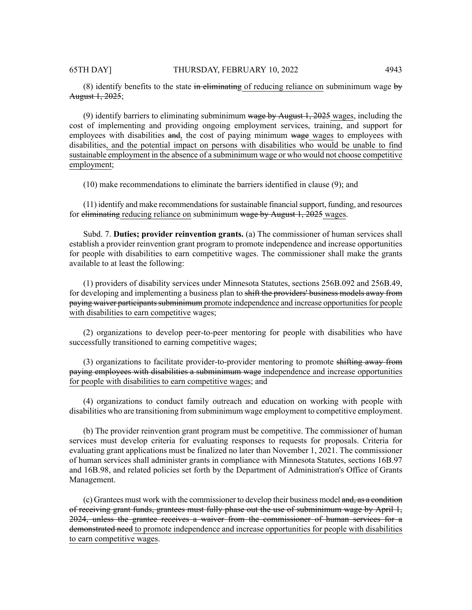(8) identify benefits to the state in eliminating of reducing reliance on subminimum wage  $\overline{b}y$ August 1, 2025;

(9) identify barriers to eliminating subminimum wage by August  $1, 2025$  wages, including the cost of implementing and providing ongoing employment services, training, and support for employees with disabilities and, the cost of paying minimum wage wages to employees with disabilities, and the potential impact on persons with disabilities who would be unable to find sustainable employment in the absence of a subminimum wage or who would not choose competitive employment;

(10) make recommendations to eliminate the barriers identified in clause (9); and

 $(11)$  identify and make recommendations for sustainable financial support, funding, and resources for eliminating reducing reliance on subminimum wage by August 1, 2025 wages.

Subd. 7. **Duties; provider reinvention grants.** (a) The commissioner of human services shall establish a provider reinvention grant program to promote independence and increase opportunities for people with disabilities to earn competitive wages. The commissioner shall make the grants available to at least the following:

(1) providers of disability services under Minnesota Statutes, sections 256B.092 and 256B.49, for developing and implementing a business plan to shift the providers' business models away from paying waiver participants subminimum promote independence and increase opportunities for people with disabilities to earn competitive wages;

(2) organizations to develop peer-to-peer mentoring for people with disabilities who have successfully transitioned to earning competitive wages;

(3) organizations to facilitate provider-to-provider mentoring to promote shifting away from paying employees with disabilities a subminimum wage independence and increase opportunities for people with disabilities to earn competitive wages; and

(4) organizations to conduct family outreach and education on working with people with disabilities who are transitioning from subminimum wage employment to competitive employment.

(b) The provider reinvention grant program must be competitive. The commissioner of human services must develop criteria for evaluating responses to requests for proposals. Criteria for evaluating grant applications must be finalized no later than November 1, 2021. The commissioner of human services shall administer grants in compliance with Minnesota Statutes, sections 16B.97 and 16B.98, and related policies set forth by the Department of Administration's Office of Grants Management.

(c) Grantees must work with the commissioner to develop their business model and, as a condition of receiving grant funds, grantees must fully phase out the use of subminimum wage by April 1, 2024, unless the grantee receives a waiver from the commissioner of human services for a demonstrated need to promote independence and increase opportunities for people with disabilities to earn competitive wages.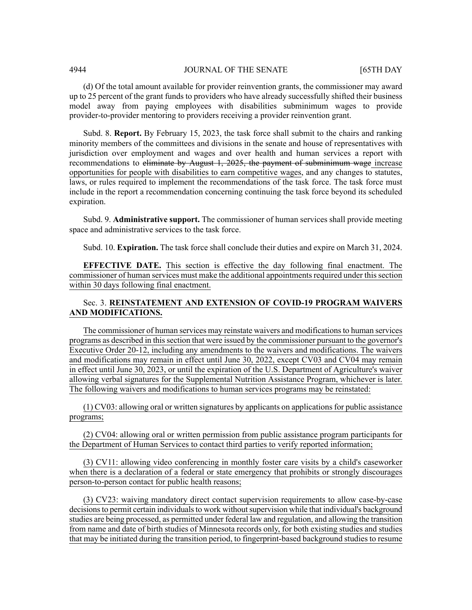(d) Of the total amount available for provider reinvention grants, the commissioner may award up to 25 percent of the grant funds to providers who have already successfully shifted their business model away from paying employees with disabilities subminimum wages to provide provider-to-provider mentoring to providers receiving a provider reinvention grant.

Subd. 8. **Report.** By February 15, 2023, the task force shall submit to the chairs and ranking minority members of the committees and divisions in the senate and house of representatives with jurisdiction over employment and wages and over health and human services a report with recommendations to eliminate by August 1, 2025, the payment of subminimum wage increase opportunities for people with disabilities to earn competitive wages, and any changes to statutes, laws, or rules required to implement the recommendations of the task force. The task force must include in the report a recommendation concerning continuing the task force beyond its scheduled expiration.

Subd. 9. **Administrative support.** The commissioner of human services shall provide meeting space and administrative services to the task force.

Subd. 10. **Expiration.** The task force shall conclude their duties and expire on March 31, 2024.

**EFFECTIVE DATE.** This section is effective the day following final enactment. The commissioner of human services must make the additional appointments required under this section within 30 days following final enactment.

# Sec. 3. **REINSTATEMENT AND EXTENSION OF COVID-19 PROGRAM WAIVERS AND MODIFICATIONS.**

The commissioner of human services may reinstate waivers and modifications to human services programs as described in thissection that were issued by the commissioner pursuant to the governor's Executive Order 20-12, including any amendments to the waivers and modifications. The waivers and modifications may remain in effect until June 30, 2022, except CV03 and CV04 may remain in effect until June 30, 2023, or until the expiration of the U.S. Department of Agriculture's waiver allowing verbal signatures for the Supplemental Nutrition Assistance Program, whichever is later. The following waivers and modifications to human services programs may be reinstated:

 $(1)$  CV03: allowing oral or written signatures by applicants on applications for public assistance programs;

(2) CV04: allowing oral or written permission from public assistance program participants for the Department of Human Services to contact third parties to verify reported information;

(3) CV11: allowing video conferencing in monthly foster care visits by a child's caseworker when there is a declaration of a federal or state emergency that prohibits or strongly discourages person-to-person contact for public health reasons;

(3) CV23: waiving mandatory direct contact supervision requirements to allow case-by-case decisions to permit certain individuals to work without supervision while that individual's background studies are being processed, as permitted under federal law and regulation, and allowing the transition from name and date of birth studies of Minnesota records only, for both existing studies and studies that may be initiated during the transition period, to fingerprint-based background studies to resume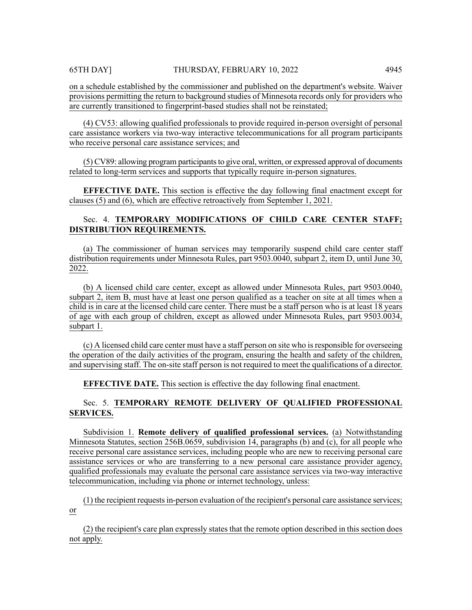on a schedule established by the commissioner and published on the department's website. Waiver provisions permitting the return to background studies of Minnesota records only for providers who are currently transitioned to fingerprint-based studies shall not be reinstated;

(4) CV53: allowing qualified professionals to provide required in-person oversight of personal care assistance workers via two-way interactive telecommunications for all program participants who receive personal care assistance services; and

(5) CV89: allowing program participantsto give oral, written, or expressed approval of documents related to long-term services and supports that typically require in-person signatures.

**EFFECTIVE DATE.** This section is effective the day following final enactment except for clauses (5) and (6), which are effective retroactively from September 1, 2021.

# Sec. 4. **TEMPORARY MODIFICATIONS OF CHILD CARE CENTER STAFF; DISTRIBUTION REQUIREMENTS.**

(a) The commissioner of human services may temporarily suspend child care center staff distribution requirements under Minnesota Rules, part 9503.0040, subpart 2, item D, until June 30, 2022.

(b) A licensed child care center, except as allowed under Minnesota Rules, part 9503.0040, subpart 2, item B, must have at least one person qualified as a teacher on site at all times when a child is in care at the licensed child care center. There must be a staff person who is at least 18 years of age with each group of children, except as allowed under Minnesota Rules, part 9503.0034, subpart 1.

(c) A licensed child care center must have a staff person on site who isresponsible for overseeing the operation of the daily activities of the program, ensuring the health and safety of the children, and supervising staff. The on-site staff person is not required to meet the qualifications of a director.

**EFFECTIVE DATE.** This section is effective the day following final enactment.

# Sec. 5. **TEMPORARY REMOTE DELIVERY OF QUALIFIED PROFESSIONAL SERVICES.**

Subdivision 1. **Remote delivery of qualified professional services.** (a) Notwithstanding Minnesota Statutes, section 256B.0659, subdivision 14, paragraphs (b) and (c), for all people who receive personal care assistance services, including people who are new to receiving personal care assistance services or who are transferring to a new personal care assistance provider agency, qualified professionals may evaluate the personal care assistance services via two-way interactive telecommunication, including via phone or internet technology, unless:

 $(1)$  the recipient requests in-person evaluation of the recipient's personal care assistance services; or

(2) the recipient's care plan expressly states that the remote option described in this section does not apply.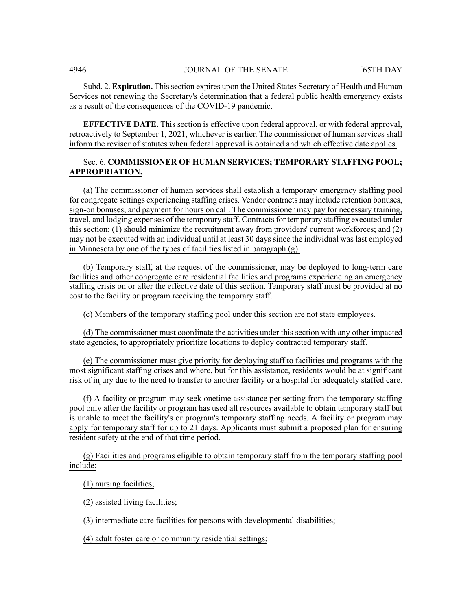Subd. 2. **Expiration.** This section expires upon the United States Secretary of Health and Human Services not renewing the Secretary's determination that a federal public health emergency exists as a result of the consequences of the COVID-19 pandemic.

**EFFECTIVE DATE.** This section is effective upon federal approval, or with federal approval, retroactively to September 1, 2021, whichever is earlier. The commissioner of human services shall inform the revisor of statutes when federal approval is obtained and which effective date applies.

# Sec. 6. **COMMISSIONER OF HUMAN SERVICES; TEMPORARY STAFFING POOL; APPROPRIATION.**

(a) The commissioner of human services shall establish a temporary emergency staffing pool for congregate settings experiencing staffing crises. Vendor contracts may include retention bonuses, sign-on bonuses, and payment for hours on call. The commissioner may pay for necessary training, travel, and lodging expenses of the temporary staff. Contracts for temporary staffing executed under this section: (1) should minimize the recruitment away from providers' current workforces; and (2) may not be executed with an individual until at least 30 days since the individual was last employed in Minnesota by one of the types of facilities listed in paragraph (g).

(b) Temporary staff, at the request of the commissioner, may be deployed to long-term care facilities and other congregate care residential facilities and programs experiencing an emergency staffing crisis on or after the effective date of this section. Temporary staff must be provided at no cost to the facility or program receiving the temporary staff.

(c) Members of the temporary staffing pool under this section are not state employees.

(d) The commissioner must coordinate the activities under this section with any other impacted state agencies, to appropriately prioritize locations to deploy contracted temporary staff.

(e) The commissioner must give priority for deploying staff to facilities and programs with the most significant staffing crises and where, but for this assistance, residents would be at significant risk of injury due to the need to transfer to another facility or a hospital for adequately staffed care.

(f) A facility or program may seek onetime assistance per setting from the temporary staffing pool only after the facility or program has used all resources available to obtain temporary staff but is unable to meet the facility's or program's temporary staffing needs. A facility or program may apply for temporary staff for up to 21 days. Applicants must submit a proposed plan for ensuring resident safety at the end of that time period.

(g) Facilities and programs eligible to obtain temporary staff from the temporary staffing pool include:

(1) nursing facilities;

(2) assisted living facilities;

(3) intermediate care facilities for persons with developmental disabilities;

(4) adult foster care or community residential settings;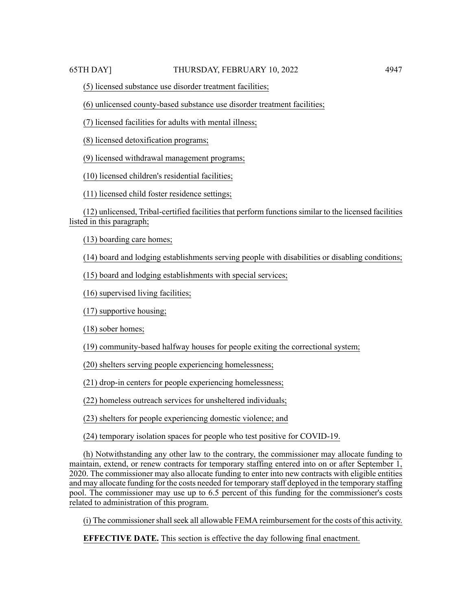(5) licensed substance use disorder treatment facilities;

(6) unlicensed county-based substance use disorder treatment facilities;

(7) licensed facilities for adults with mental illness;

(8) licensed detoxification programs;

(9) licensed withdrawal management programs;

(10) licensed children's residential facilities;

(11) licensed child foster residence settings;

(12) unlicensed, Tribal-certified facilities that perform functions similar to the licensed facilities listed in this paragraph;

(13) boarding care homes;

(14) board and lodging establishments serving people with disabilities or disabling conditions;

(15) board and lodging establishments with special services;

(16) supervised living facilities;

(17) supportive housing;

(18) sober homes;

(19) community-based halfway houses for people exiting the correctional system;

(20) shelters serving people experiencing homelessness;

(21) drop-in centers for people experiencing homelessness;

(22) homeless outreach services for unsheltered individuals;

(23) shelters for people experiencing domestic violence; and

(24) temporary isolation spaces for people who test positive for COVID-19.

(h) Notwithstanding any other law to the contrary, the commissioner may allocate funding to maintain, extend, or renew contracts for temporary staffing entered into on or after September 1, 2020. The commissioner may also allocate funding to enter into new contracts with eligible entities and may allocate funding for the costs needed for temporary staff deployed in the temporary staffing pool. The commissioner may use up to 6.5 percent of this funding for the commissioner's costs related to administration of this program.

(i) The commissioner shall seek all allowable FEMA reimbursement for the costs of this activity.

**EFFECTIVE DATE.** This section is effective the day following final enactment.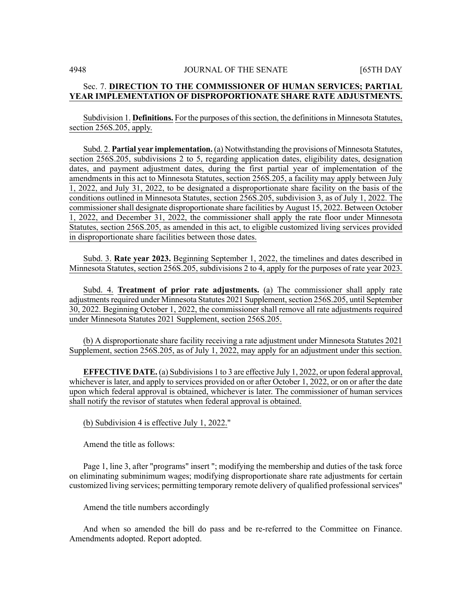# Sec. 7. **DIRECTION TO THE COMMISSIONER OF HUMAN SERVICES; PARTIAL YEAR IMPLEMENTATION OF DISPROPORTIONATE SHARE RATE ADJUSTMENTS.**

Subdivision 1. **Definitions.** For the purposes of this section, the definitions in Minnesota Statutes, section 256S.205, apply.

Subd. 2. **Partial year implementation.** (a) Notwithstanding the provisions of Minnesota Statutes, section 256S.205, subdivisions 2 to 5, regarding application dates, eligibility dates, designation dates, and payment adjustment dates, during the first partial year of implementation of the amendments in this act to Minnesota Statutes, section 256S.205, a facility may apply between July 1, 2022, and July 31, 2022, to be designated a disproportionate share facility on the basis of the conditions outlined in Minnesota Statutes, section 256S.205, subdivision 3, as of July 1, 2022. The commissioner shall designate disproportionate share facilities by August 15, 2022. Between October 1, 2022, and December 31, 2022, the commissioner shall apply the rate floor under Minnesota Statutes, section 256S.205, as amended in this act, to eligible customized living services provided in disproportionate share facilities between those dates.

Subd. 3. **Rate year 2023.** Beginning September 1, 2022, the timelines and dates described in Minnesota Statutes, section 256S.205, subdivisions 2 to 4, apply for the purposes of rate year 2023.

Subd. 4. **Treatment of prior rate adjustments.** (a) The commissioner shall apply rate adjustments required under Minnesota Statutes 2021 Supplement, section 256S.205, until September 30, 2022. Beginning October 1, 2022, the commissioner shall remove all rate adjustments required under Minnesota Statutes 2021 Supplement, section 256S.205.

(b) A disproportionate share facility receiving a rate adjustment under Minnesota Statutes 2021 Supplement, section 256S.205, as of July 1, 2022, may apply for an adjustment under this section.

**EFFECTIVE DATE.** (a) Subdivisions 1 to 3 are effective July 1, 2022, or upon federal approval, whichever is later, and apply to services provided on or after October 1, 2022, or on or after the date upon which federal approval is obtained, whichever is later. The commissioner of human services shall notify the revisor of statutes when federal approval is obtained.

(b) Subdivision 4 is effective July 1, 2022."

Amend the title as follows:

Page 1, line 3, after "programs" insert "; modifying the membership and duties of the task force on eliminating subminimum wages; modifying disproportionate share rate adjustments for certain customized living services; permitting temporary remote delivery of qualified professional services"

Amend the title numbers accordingly

And when so amended the bill do pass and be re-referred to the Committee on Finance. Amendments adopted. Report adopted.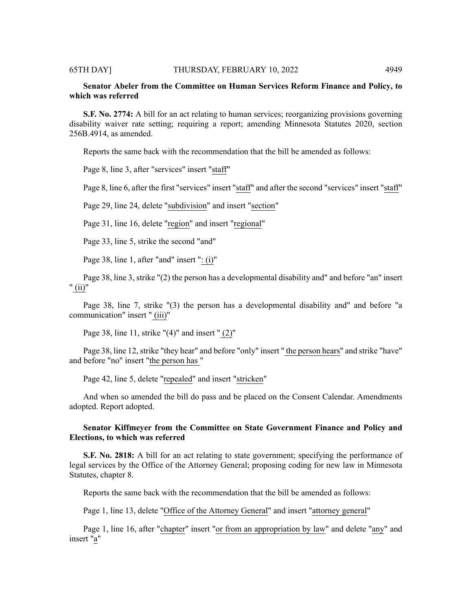# **Senator Abeler from the Committee on Human Services Reform Finance and Policy, to which was referred**

**S.F. No. 2774:** A bill for an act relating to human services; reorganizing provisions governing disability waiver rate setting; requiring a report; amending Minnesota Statutes 2020, section 256B.4914, as amended.

Reports the same back with the recommendation that the bill be amended as follows:

Page 8, line 3, after "services" insert "staff"

Page 8, line 6, after the first "services" insert "staff" and after the second "services" insert "staff"

Page 29, line 24, delete "subdivision" and insert "section"

Page 31, line 16, delete "region" and insert "regional"

Page 33, line 5, strike the second "and"

Page 38, line 1, after "and" insert ": (i)"

Page 38, line 3, strike "(2) the person has a developmental disability and" and before "an" insert " (ii)"

Page 38, line 7, strike "(3) the person has a developmental disability and" and before "a communication" insert " (iii)"

Page 38, line 11, strike "(4)" and insert " (2)"

Page 38, line 12, strike "they hear" and before "only" insert " the person hears" and strike "have" and before "no" insert "the person has "

Page 42, line 5, delete "repealed" and insert "stricken"

And when so amended the bill do pass and be placed on the Consent Calendar. Amendments adopted. Report adopted.

# **Senator Kiffmeyer from the Committee on State Government Finance and Policy and Elections, to which was referred**

**S.F. No. 2818:** A bill for an act relating to state government; specifying the performance of legal services by the Office of the Attorney General; proposing coding for new law in Minnesota Statutes, chapter 8.

Reports the same back with the recommendation that the bill be amended as follows:

Page 1, line 13, delete "Office of the Attorney General" and insert "attorney general"

Page 1, line 16, after "chapter" insert "or from an appropriation by law" and delete "any" and insert "a"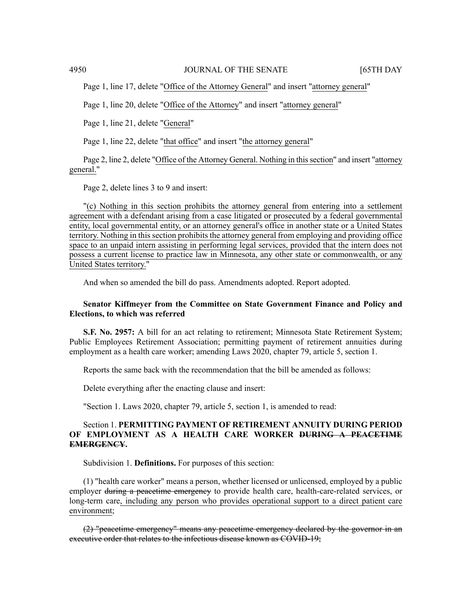Page 1, line 17, delete "Office of the Attorney General" and insert "attorney general"

Page 1, line 20, delete "Office of the Attorney" and insert "attorney general"

Page 1, line 21, delete "General"

Page 1, line 22, delete "that office" and insert "the attorney general"

Page 2, line 2, delete "Office of the Attorney General. Nothing in this section" and insert "attorney" general."

Page 2, delete lines 3 to 9 and insert:

"(c) Nothing in this section prohibits the attorney general from entering into a settlement agreement with a defendant arising from a case litigated or prosecuted by a federal governmental entity, local governmental entity, or an attorney general's office in another state or a United States territory. Nothing in this section prohibits the attorney general from employing and providing office space to an unpaid intern assisting in performing legal services, provided that the intern does not possess a current license to practice law in Minnesota, any other state or commonwealth, or any United States territory."

And when so amended the bill do pass. Amendments adopted. Report adopted.

# **Senator Kiffmeyer from the Committee on State Government Finance and Policy and Elections, to which was referred**

**S.F. No. 2957:** A bill for an act relating to retirement; Minnesota State Retirement System; Public Employees Retirement Association; permitting payment of retirement annuities during employment as a health care worker; amending Laws 2020, chapter 79, article 5, section 1.

Reports the same back with the recommendation that the bill be amended as follows:

Delete everything after the enacting clause and insert:

"Section 1. Laws 2020, chapter 79, article 5, section 1, is amended to read:

# Section 1. **PERMITTING PAYMENT OF RETIREMENT ANNUITY DURING PERIOD OF EMPLOYMENT AS A HEALTH CARE WORKER DURING A PEACETIME EMERGENCY.**

Subdivision 1. **Definitions.** For purposes of this section:

(1) "health care worker" means a person, whether licensed or unlicensed, employed by a public employer during a peacetime emergency to provide health care, health-care-related services, or long-term care, including any person who provides operational support to a direct patient care environment;

(2) "peacetime emergency" means any peacetime emergency declared by the governor in an executive order that relates to the infectious disease known as COVID-19;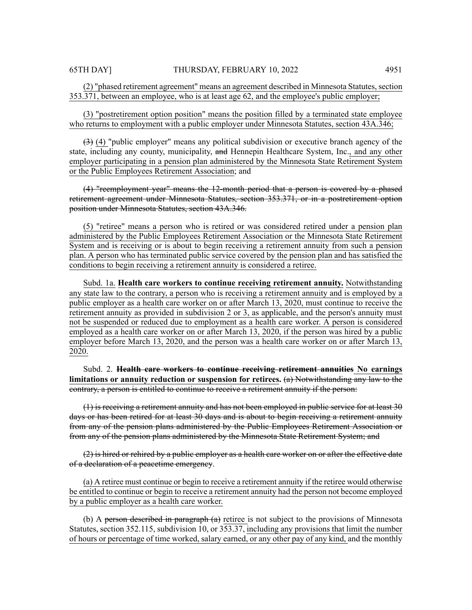# (2) "phased retirement agreement" means an agreement described in Minnesota Statutes, section 353.371, between an employee, who is at least age 62, and the employee's public employer;

(3) "postretirement option position" means the position filled by a terminated state employee who returns to employment with a public employer under Minnesota Statutes, section 43A.346;

 $(3)$  (4) "public employer" means any political subdivision or executive branch agency of the state, including any county, municipality, and Hennepin Healthcare System, Inc., and any other employer participating in a pension plan administered by the Minnesota State Retirement System or the Public Employees Retirement Association; and

(4) "reemployment year" means the 12-month period that a person is covered by a phased retirement agreement under Minnesota Statutes, section 353.371, or in a postretirement option position under Minnesota Statutes, section 43A.346.

(5) "retiree" means a person who is retired or was considered retired under a pension plan administered by the Public Employees Retirement Association or the Minnesota State Retirement System and is receiving or is about to begin receiving a retirement annuity from such a pension plan. A person who has terminated public service covered by the pension plan and has satisfied the conditions to begin receiving a retirement annuity is considered a retiree.

Subd. 1a. **Health care workers to continue receiving retirement annuity.** Notwithstanding any state law to the contrary, a person who is receiving a retirement annuity and is employed by a public employer as a health care worker on or after March 13, 2020, must continue to receive the retirement annuity as provided in subdivision 2 or 3, as applicable, and the person's annuity must not be suspended or reduced due to employment as a health care worker. A person is considered employed as a health care worker on or after March 13, 2020, if the person was hired by a public employer before March 13, 2020, and the person was a health care worker on or after March 13, 2020.

Subd. 2. **Health care workers to continue receiving retirement annuities No earnings limitations or annuity reduction or suspension for retirees.** (a) Notwithstanding any law to the contrary, a person is entitled to continue to receive a retirement annuity if the person:

(1) is receiving a retirement annuity and has not been employed in public service for at least 30 days or has been retired for at least 30 days and is about to begin receiving a retirement annuity from any of the pension plans administered by the Public Employees Retirement Association or from any of the pension plans administered by the Minnesota State Retirement System; and

 $(2)$  is hired or rehired by a public employer as a health care worker on or after the effective date of a declaration of a peacetime emergency.

(a) A retiree must continue or begin to receive a retirement annuity if the retiree would otherwise be entitled to continue or begin to receive a retirement annuity had the person not become employed by a public employer as a health care worker.

(b) A person described in paragraph  $(a)$  retiree is not subject to the provisions of Minnesota Statutes, section 352.115, subdivision 10, or 353.37, including any provisions that limit the number of hours or percentage of time worked, salary earned, or any other pay of any kind, and the monthly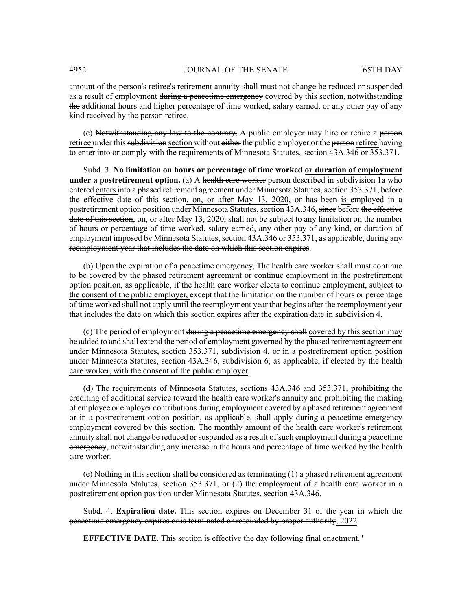amount of the **person's** retiree's retirement annuity shall must not change be reduced or suspended as a result of employment during a peacetime emergency covered by this section, notwithstanding the additional hours and higher percentage of time worked, salary earned, or any other pay of any kind received by the person retiree.

(c) Notwithstanding any law to the contrary, A public employer may hire or rehire a person retiree under this subdivision section without either the public employer or the person retiree having to enter into or comply with the requirements of Minnesota Statutes, section 43A.346 or 353.371.

Subd. 3. **No limitation on hours or percentage of time worked or duration of employment under a postretirement option.** (a) A health eare worker person described in subdivision 1a who entered enters into a phased retirement agreement under Minnesota Statutes, section 353.371, before the effective date of this section, on, or after May 13, 2020, or has been is employed in a postretirement option position under Minnesota Statutes, section 43A.346, since before the effective date of this section, on, or after May 13, 2020, shall not be subject to any limitation on the number of hours or percentage of time worked, salary earned, any other pay of any kind, or duration of employment imposed by Minnesota Statutes, section 43A.346 or 353.371, as applicable, during any reemployment year that includes the date on which this section expires.

(b) Upon the expiration of a peacetime emergency, The health care worker shall must continue to be covered by the phased retirement agreement or continue employment in the postretirement option position, as applicable, if the health care worker elects to continue employment, subject to the consent of the public employer, except that the limitation on the number of hours or percentage of time worked shall not apply until the reemployment year that begins after the reemployment year that includes the date on which this section expires after the expiration date in subdivision 4.

(c) The period of employment during a peacetime emergency shall covered by this section may be added to and shall extend the period of employment governed by the phased retirement agreement under Minnesota Statutes, section 353.371, subdivision 4, or in a postretirement option position under Minnesota Statutes, section 43A.346, subdivision 6, as applicable, if elected by the health care worker, with the consent of the public employer.

(d) The requirements of Minnesota Statutes, sections 43A.346 and 353.371, prohibiting the crediting of additional service toward the health care worker's annuity and prohibiting the making of employee or employer contributions during employment covered by a phased retirement agreement or in a postretirement option position, as applicable, shall apply during a peacetime emergency employment covered by this section. The monthly amount of the health care worker's retirement annuity shall not change be reduced or suspended as a result of such employment during a peacetime emergency, notwithstanding any increase in the hours and percentage of time worked by the health care worker.

(e) Nothing in this section shall be considered as terminating (1) a phased retirement agreement under Minnesota Statutes, section 353.371, or (2) the employment of a health care worker in a postretirement option position under Minnesota Statutes, section 43A.346.

Subd. 4. **Expiration date.** This section expires on December 31 of the year in which the peacetime emergency expires or is terminated or rescinded by proper authority, 2022.

**EFFECTIVE DATE.** This section is effective the day following final enactment."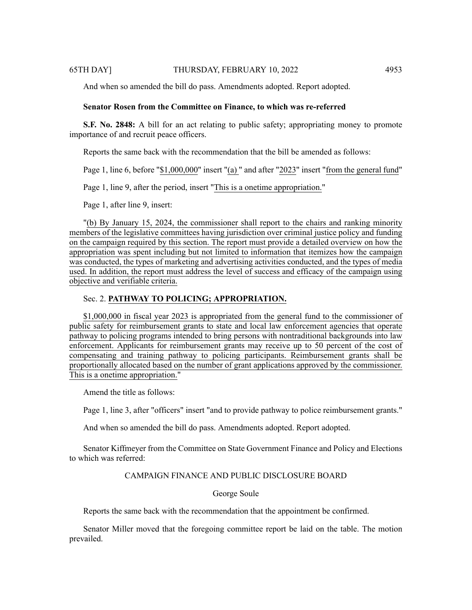And when so amended the bill do pass. Amendments adopted. Report adopted.

# **Senator Rosen from the Committee on Finance, to which was re-referred**

**S.F. No. 2848:** A bill for an act relating to public safety; appropriating money to promote importance of and recruit peace officers.

Reports the same back with the recommendation that the bill be amended as follows:

Page 1, line 6, before "\$1,000,000" insert "(a) " and after "2023" insert "from the general fund"

Page 1, line 9, after the period, insert "This is a onetime appropriation."

Page 1, after line 9, insert:

"(b) By January 15, 2024, the commissioner shall report to the chairs and ranking minority members of the legislative committees having jurisdiction over criminal justice policy and funding on the campaign required by this section. The report must provide a detailed overview on how the appropriation was spent including but not limited to information that itemizes how the campaign was conducted, the types of marketing and advertising activities conducted, and the types of media used. In addition, the report must address the level of success and efficacy of the campaign using objective and verifiable criteria.

# Sec. 2. **PATHWAY TO POLICING; APPROPRIATION.**

\$1,000,000 in fiscal year 2023 is appropriated from the general fund to the commissioner of public safety for reimbursement grants to state and local law enforcement agencies that operate pathway to policing programs intended to bring persons with nontraditional backgrounds into law enforcement. Applicants for reimbursement grants may receive up to 50 percent of the cost of compensating and training pathway to policing participants. Reimbursement grants shall be proportionally allocated based on the number of grant applications approved by the commissioner. This is a onetime appropriation."

Amend the title as follows:

Page 1, line 3, after "officers" insert "and to provide pathway to police reimbursement grants."

And when so amended the bill do pass. Amendments adopted. Report adopted.

Senator Kiffmeyer from the Committee on State Government Finance and Policy and Elections to which was referred:

# CAMPAIGN FINANCE AND PUBLIC DISCLOSURE BOARD

# George Soule

Reports the same back with the recommendation that the appointment be confirmed.

Senator Miller moved that the foregoing committee report be laid on the table. The motion prevailed.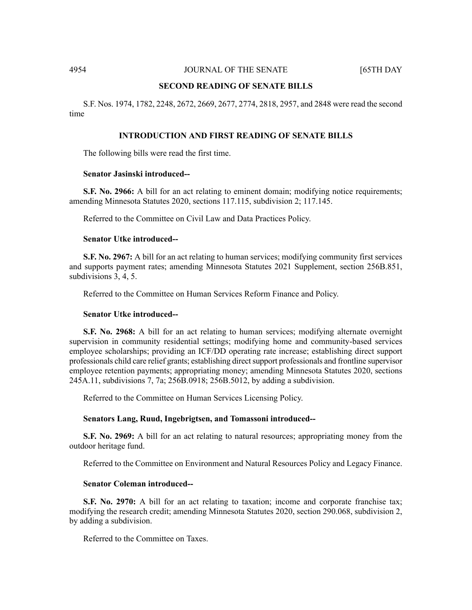### **SECOND READING OF SENATE BILLS**

S.F. Nos. 1974, 1782, 2248, 2672, 2669, 2677, 2774, 2818, 2957, and 2848 were read the second time

# **INTRODUCTION AND FIRST READING OF SENATE BILLS**

The following bills were read the first time.

# **Senator Jasinski introduced--**

**S.F.** No. 2966: A bill for an act relating to eminent domain; modifying notice requirements; amending Minnesota Statutes 2020, sections 117.115, subdivision 2; 117.145.

Referred to the Committee on Civil Law and Data Practices Policy.

#### **Senator Utke introduced--**

**S.F. No. 2967:** A bill for an act relating to human services; modifying community first services and supports payment rates; amending Minnesota Statutes 2021 Supplement, section 256B.851, subdivisions 3, 4, 5.

Referred to the Committee on Human Services Reform Finance and Policy.

# **Senator Utke introduced--**

**S.F. No. 2968:** A bill for an act relating to human services; modifying alternate overnight supervision in community residential settings; modifying home and community-based services employee scholarships; providing an ICF/DD operating rate increase; establishing direct support professionals child care relief grants; establishing direct support professionals and frontline supervisor employee retention payments; appropriating money; amending Minnesota Statutes 2020, sections 245A.11, subdivisions 7, 7a; 256B.0918; 256B.5012, by adding a subdivision.

Referred to the Committee on Human Services Licensing Policy.

#### **Senators Lang, Ruud, Ingebrigtsen, and Tomassoni introduced--**

**S.F. No. 2969:** A bill for an act relating to natural resources; appropriating money from the outdoor heritage fund.

Referred to the Committee on Environment and Natural Resources Policy and Legacy Finance.

#### **Senator Coleman introduced--**

**S.F. No. 2970:** A bill for an act relating to taxation; income and corporate franchise tax; modifying the research credit; amending Minnesota Statutes 2020, section 290.068, subdivision 2, by adding a subdivision.

Referred to the Committee on Taxes.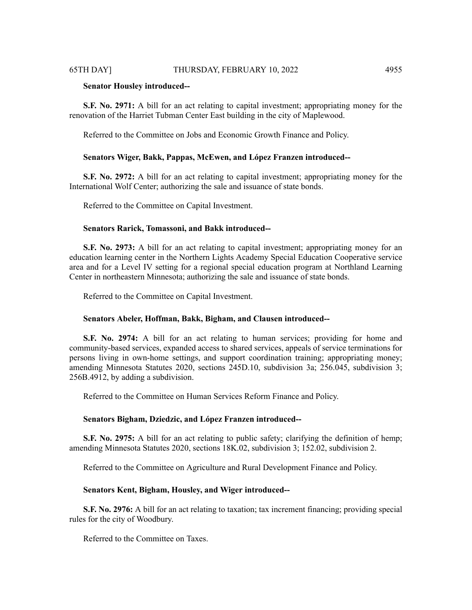#### **Senator Housley introduced--**

**S.F. No. 2971:** A bill for an act relating to capital investment; appropriating money for the renovation of the Harriet Tubman Center East building in the city of Maplewood.

Referred to the Committee on Jobs and Economic Growth Finance and Policy.

# **Senators Wiger, Bakk, Pappas, McEwen, and López Franzen introduced--**

**S.F. No. 2972:** A bill for an act relating to capital investment; appropriating money for the International Wolf Center; authorizing the sale and issuance of state bonds.

Referred to the Committee on Capital Investment.

# **Senators Rarick, Tomassoni, and Bakk introduced--**

**S.F. No. 2973:** A bill for an act relating to capital investment; appropriating money for an education learning center in the Northern Lights Academy Special Education Cooperative service area and for a Level IV setting for a regional special education program at Northland Learning Center in northeastern Minnesota; authorizing the sale and issuance of state bonds.

Referred to the Committee on Capital Investment.

#### **Senators Abeler, Hoffman, Bakk, Bigham, and Clausen introduced--**

**S.F. No. 2974:** A bill for an act relating to human services; providing for home and community-based services, expanded access to shared services, appeals of service terminations for persons living in own-home settings, and support coordination training; appropriating money; amending Minnesota Statutes 2020, sections 245D.10, subdivision 3a; 256.045, subdivision 3; 256B.4912, by adding a subdivision.

Referred to the Committee on Human Services Reform Finance and Policy.

#### **Senators Bigham, Dziedzic, and López Franzen introduced--**

**S.F. No. 2975:** A bill for an act relating to public safety; clarifying the definition of hemp; amending Minnesota Statutes 2020, sections 18K.02, subdivision 3; 152.02, subdivision 2.

Referred to the Committee on Agriculture and Rural Development Finance and Policy.

#### **Senators Kent, Bigham, Housley, and Wiger introduced--**

**S.F. No. 2976:** A bill for an act relating to taxation; tax increment financing; providing special rules for the city of Woodbury.

Referred to the Committee on Taxes.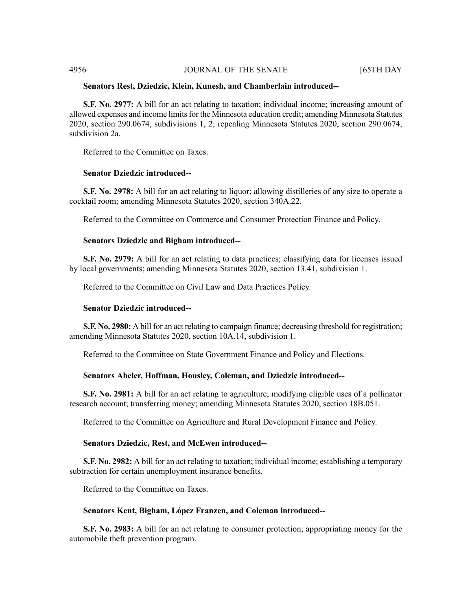# **Senators Rest, Dziedzic, Klein, Kunesh, and Chamberlain introduced--**

**S.F. No. 2977:** A bill for an act relating to taxation; individual income; increasing amount of allowed expenses and income limits for the Minnesota education credit; amending Minnesota Statutes 2020, section 290.0674, subdivisions 1, 2; repealing Minnesota Statutes 2020, section 290.0674, subdivision 2a.

Referred to the Committee on Taxes.

# **Senator Dziedzic introduced--**

**S.F. No. 2978:** A bill for an act relating to liquor; allowing distilleries of any size to operate a cocktail room; amending Minnesota Statutes 2020, section 340A.22.

Referred to the Committee on Commerce and Consumer Protection Finance and Policy.

# **Senators Dziedzic and Bigham introduced--**

**S.F. No. 2979:** A bill for an act relating to data practices; classifying data for licenses issued by local governments; amending Minnesota Statutes 2020, section 13.41, subdivision 1.

Referred to the Committee on Civil Law and Data Practices Policy.

# **Senator Dziedzic introduced--**

**S.F. No. 2980:** A bill for an act relating to campaign finance; decreasing threshold for registration; amending Minnesota Statutes 2020, section 10A.14, subdivision 1.

Referred to the Committee on State Government Finance and Policy and Elections.

# **Senators Abeler, Hoffman, Housley, Coleman, and Dziedzic introduced--**

**S.F. No. 2981:** A bill for an act relating to agriculture; modifying eligible uses of a pollinator research account; transferring money; amending Minnesota Statutes 2020, section 18B.051.

Referred to the Committee on Agriculture and Rural Development Finance and Policy.

# **Senators Dziedzic, Rest, and McEwen introduced--**

**S.F. No. 2982:** A bill for an act relating to taxation; individual income; establishing a temporary subtraction for certain unemployment insurance benefits.

Referred to the Committee on Taxes.

# **Senators Kent, Bigham, López Franzen, and Coleman introduced--**

**S.F. No. 2983:** A bill for an act relating to consumer protection; appropriating money for the automobile theft prevention program.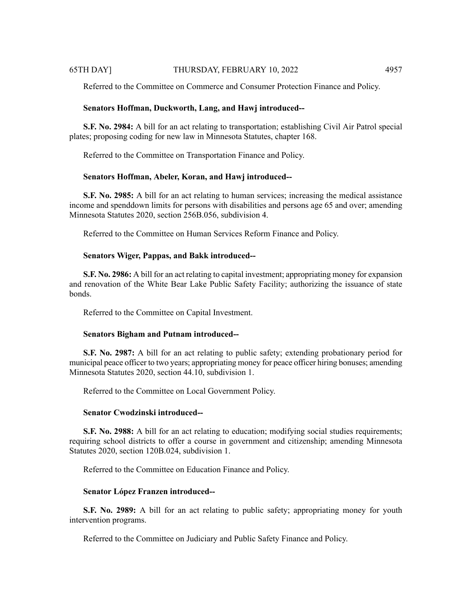Referred to the Committee on Commerce and Consumer Protection Finance and Policy.

# **Senators Hoffman, Duckworth, Lang, and Hawj introduced--**

**S.F. No. 2984:** A bill for an act relating to transportation; establishing Civil Air Patrol special plates; proposing coding for new law in Minnesota Statutes, chapter 168.

Referred to the Committee on Transportation Finance and Policy.

#### **Senators Hoffman, Abeler, Koran, and Hawj introduced--**

**S.F. No. 2985:** A bill for an act relating to human services; increasing the medical assistance income and spenddown limits for persons with disabilities and persons age 65 and over; amending Minnesota Statutes 2020, section 256B.056, subdivision 4.

Referred to the Committee on Human Services Reform Finance and Policy.

# **Senators Wiger, Pappas, and Bakk introduced--**

**S.F. No. 2986:** A bill for an act relating to capital investment; appropriating money for expansion and renovation of the White Bear Lake Public Safety Facility; authorizing the issuance of state bonds.

Referred to the Committee on Capital Investment.

# **Senators Bigham and Putnam introduced--**

**S.F. No. 2987:** A bill for an act relating to public safety; extending probationary period for municipal peace officer to two years; appropriating money for peace officer hiring bonuses; amending Minnesota Statutes 2020, section 44.10, subdivision 1.

Referred to the Committee on Local Government Policy.

# **Senator Cwodzinski introduced--**

**S.F. No. 2988:** A bill for an act relating to education; modifying social studies requirements; requiring school districts to offer a course in government and citizenship; amending Minnesota Statutes 2020, section 120B.024, subdivision 1.

Referred to the Committee on Education Finance and Policy.

# **Senator López Franzen introduced--**

**S.F. No. 2989:** A bill for an act relating to public safety; appropriating money for youth intervention programs.

Referred to the Committee on Judiciary and Public Safety Finance and Policy.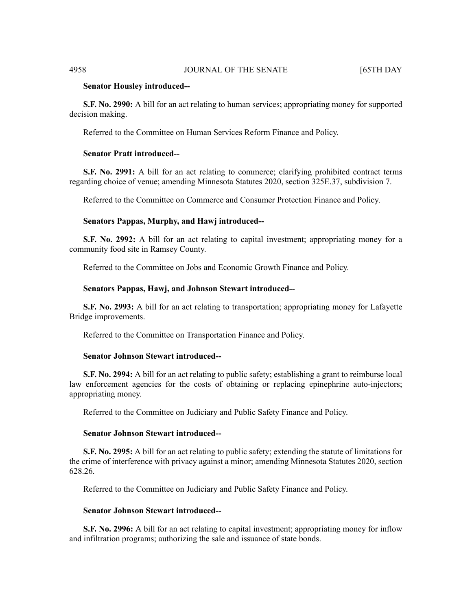#### **Senator Housley introduced--**

**S.F. No. 2990:** A bill for an act relating to human services; appropriating money for supported decision making.

Referred to the Committee on Human Services Reform Finance and Policy.

# **Senator Pratt introduced--**

**S.F. No. 2991:** A bill for an act relating to commerce; clarifying prohibited contract terms regarding choice of venue; amending Minnesota Statutes 2020, section 325E.37, subdivision 7.

Referred to the Committee on Commerce and Consumer Protection Finance and Policy.

#### **Senators Pappas, Murphy, and Hawj introduced--**

**S.F. No. 2992:** A bill for an act relating to capital investment; appropriating money for a community food site in Ramsey County.

Referred to the Committee on Jobs and Economic Growth Finance and Policy.

#### **Senators Pappas, Hawj, and Johnson Stewart introduced--**

**S.F. No. 2993:** A bill for an act relating to transportation; appropriating money for Lafayette Bridge improvements.

Referred to the Committee on Transportation Finance and Policy.

#### **Senator Johnson Stewart introduced--**

**S.F. No. 2994:** A bill for an act relating to public safety; establishing a grant to reimburse local law enforcement agencies for the costs of obtaining or replacing epinephrine auto-injectors; appropriating money.

Referred to the Committee on Judiciary and Public Safety Finance and Policy.

#### **Senator Johnson Stewart introduced--**

**S.F. No. 2995:** A bill for an act relating to public safety; extending the statute of limitations for the crime of interference with privacy against a minor; amending Minnesota Statutes 2020, section 628.26.

Referred to the Committee on Judiciary and Public Safety Finance and Policy.

#### **Senator Johnson Stewart introduced--**

**S.F. No. 2996:** A bill for an act relating to capital investment; appropriating money for inflow and infiltration programs; authorizing the sale and issuance of state bonds.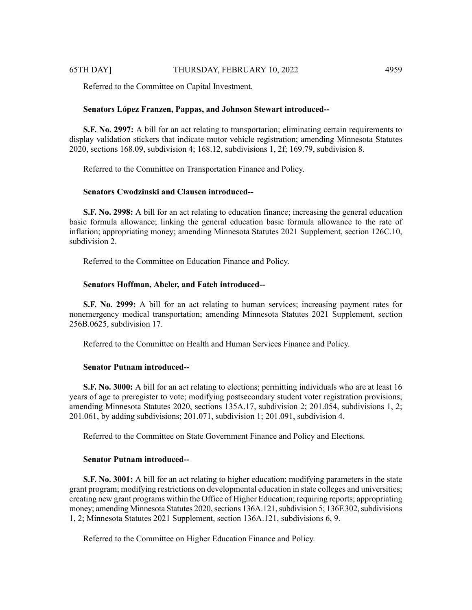Referred to the Committee on Capital Investment.

#### **Senators López Franzen, Pappas, and Johnson Stewart introduced--**

**S.F. No. 2997:** A bill for an act relating to transportation; eliminating certain requirements to display validation stickers that indicate motor vehicle registration; amending Minnesota Statutes 2020, sections 168.09, subdivision 4; 168.12, subdivisions 1, 2f; 169.79, subdivision 8.

Referred to the Committee on Transportation Finance and Policy.

# **Senators Cwodzinski and Clausen introduced--**

**S.F. No. 2998:** A bill for an act relating to education finance; increasing the general education basic formula allowance; linking the general education basic formula allowance to the rate of inflation; appropriating money; amending Minnesota Statutes 2021 Supplement, section 126C.10, subdivision 2.

Referred to the Committee on Education Finance and Policy.

### **Senators Hoffman, Abeler, and Fateh introduced--**

**S.F. No. 2999:** A bill for an act relating to human services; increasing payment rates for nonemergency medical transportation; amending Minnesota Statutes 2021 Supplement, section 256B.0625, subdivision 17.

Referred to the Committee on Health and Human Services Finance and Policy.

# **Senator Putnam introduced--**

**S.F. No. 3000:** A bill for an act relating to elections; permitting individuals who are at least 16 years of age to preregister to vote; modifying postsecondary student voter registration provisions; amending Minnesota Statutes 2020, sections 135A.17, subdivision 2; 201.054, subdivisions 1, 2; 201.061, by adding subdivisions; 201.071, subdivision 1; 201.091, subdivision 4.

Referred to the Committee on State Government Finance and Policy and Elections.

# **Senator Putnam introduced--**

**S.F. No. 3001:** A bill for an act relating to higher education; modifying parameters in the state grant program; modifying restrictions on developmental education in state colleges and universities; creating new grant programs within the Office of Higher Education; requiring reports; appropriating money; amending Minnesota Statutes 2020, sections 136A.121, subdivision 5; 136F.302, subdivisions 1, 2; Minnesota Statutes 2021 Supplement, section 136A.121, subdivisions 6, 9.

Referred to the Committee on Higher Education Finance and Policy.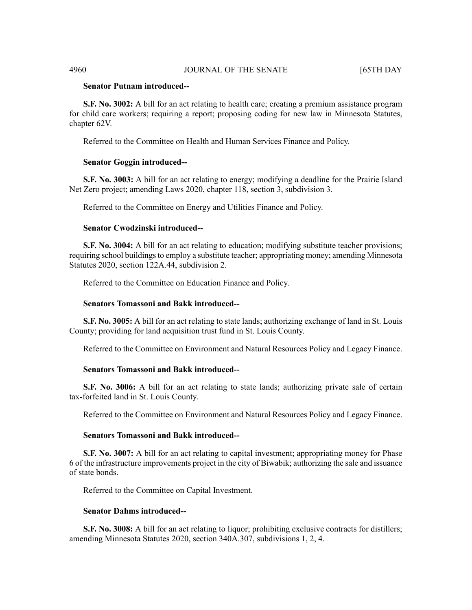### **Senator Putnam introduced--**

**S.F. No. 3002:** A bill for an act relating to health care; creating a premium assistance program for child care workers; requiring a report; proposing coding for new law in Minnesota Statutes, chapter 62V.

Referred to the Committee on Health and Human Services Finance and Policy.

#### **Senator Goggin introduced--**

**S.F. No. 3003:** A bill for an act relating to energy; modifying a deadline for the Prairie Island Net Zero project; amending Laws 2020, chapter 118, section 3, subdivision 3.

Referred to the Committee on Energy and Utilities Finance and Policy.

#### **Senator Cwodzinski introduced--**

**S.F. No. 3004:** A bill for an act relating to education; modifying substitute teacher provisions; requiring school buildings to employ a substitute teacher; appropriating money; amending Minnesota Statutes 2020, section 122A.44, subdivision 2.

Referred to the Committee on Education Finance and Policy.

#### **Senators Tomassoni and Bakk introduced--**

**S.F. No. 3005:** A bill for an act relating to state lands; authorizing exchange of land in St. Louis County; providing for land acquisition trust fund in St. Louis County.

Referred to the Committee on Environment and Natural Resources Policy and Legacy Finance.

# **Senators Tomassoni and Bakk introduced--**

**S.F. No. 3006:** A bill for an act relating to state lands; authorizing private sale of certain tax-forfeited land in St. Louis County.

Referred to the Committee on Environment and Natural Resources Policy and Legacy Finance.

#### **Senators Tomassoni and Bakk introduced--**

**S.F. No. 3007:** A bill for an act relating to capital investment; appropriating money for Phase 6 of the infrastructure improvements project in the city of Biwabik; authorizing the sale and issuance of state bonds.

Referred to the Committee on Capital Investment.

#### **Senator Dahms introduced--**

**S.F. No. 3008:** A bill for an act relating to liquor; prohibiting exclusive contracts for distillers; amending Minnesota Statutes 2020, section 340A.307, subdivisions 1, 2, 4.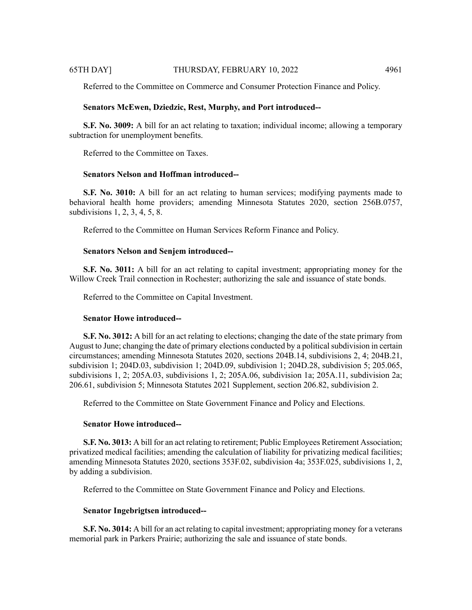Referred to the Committee on Commerce and Consumer Protection Finance and Policy.

# **Senators McEwen, Dziedzic, Rest, Murphy, and Port introduced--**

**S.F. No. 3009:** A bill for an act relating to taxation; individual income; allowing a temporary subtraction for unemployment benefits.

Referred to the Committee on Taxes.

# **Senators Nelson and Hoffman introduced--**

**S.F. No. 3010:** A bill for an act relating to human services; modifying payments made to behavioral health home providers; amending Minnesota Statutes 2020, section 256B.0757, subdivisions 1, 2, 3, 4, 5, 8.

Referred to the Committee on Human Services Reform Finance and Policy.

# **Senators Nelson and Senjem introduced--**

**S.F. No. 3011:** A bill for an act relating to capital investment; appropriating money for the Willow Creek Trail connection in Rochester; authorizing the sale and issuance of state bonds.

Referred to the Committee on Capital Investment.

# **Senator Howe introduced--**

**S.F. No. 3012:** A bill for an act relating to elections; changing the date of the state primary from August to June; changing the date of primary elections conducted by a political subdivision in certain circumstances; amending Minnesota Statutes 2020, sections 204B.14, subdivisions 2, 4; 204B.21, subdivision 1; 204D.03, subdivision 1; 204D.09, subdivision 1; 204D.28, subdivision 5; 205.065, subdivisions 1, 2; 205A.03, subdivisions 1, 2; 205A.06, subdivision 1a; 205A.11, subdivision 2a; 206.61, subdivision 5; Minnesota Statutes 2021 Supplement, section 206.82, subdivision 2.

Referred to the Committee on State Government Finance and Policy and Elections.

# **Senator Howe introduced--**

**S.F. No. 3013:** A bill for an act relating to retirement; Public Employees Retirement Association; privatized medical facilities; amending the calculation of liability for privatizing medical facilities; amending Minnesota Statutes 2020, sections 353F.02, subdivision 4a; 353F.025, subdivisions 1, 2, by adding a subdivision.

Referred to the Committee on State Government Finance and Policy and Elections.

# **Senator Ingebrigtsen introduced--**

**S.F. No. 3014:** A bill for an act relating to capital investment; appropriating money for a veterans memorial park in Parkers Prairie; authorizing the sale and issuance of state bonds.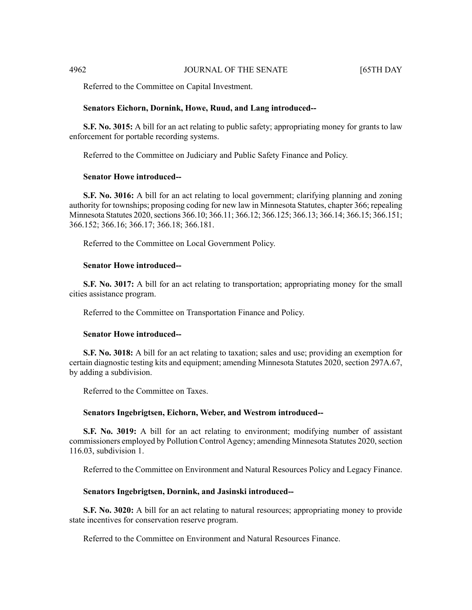Referred to the Committee on Capital Investment.

#### **Senators Eichorn, Dornink, Howe, Ruud, and Lang introduced--**

**S.F. No. 3015:** A bill for an act relating to public safety; appropriating money for grants to law enforcement for portable recording systems.

Referred to the Committee on Judiciary and Public Safety Finance and Policy.

#### **Senator Howe introduced--**

**S.F. No. 3016:** A bill for an act relating to local government; clarifying planning and zoning authority for townships; proposing coding for new law in Minnesota Statutes, chapter 366; repealing Minnesota Statutes 2020, sections 366.10; 366.11; 366.12; 366.125; 366.13; 366.14; 366.15; 366.151; 366.152; 366.16; 366.17; 366.18; 366.181.

Referred to the Committee on Local Government Policy.

#### **Senator Howe introduced--**

**S.F. No. 3017:** A bill for an act relating to transportation; appropriating money for the small cities assistance program.

Referred to the Committee on Transportation Finance and Policy.

#### **Senator Howe introduced--**

**S.F. No. 3018:** A bill for an act relating to taxation; sales and use; providing an exemption for certain diagnostic testing kits and equipment; amending Minnesota Statutes 2020, section 297A.67, by adding a subdivision.

Referred to the Committee on Taxes.

#### **Senators Ingebrigtsen, Eichorn, Weber, and Westrom introduced--**

**S.F. No. 3019:** A bill for an act relating to environment; modifying number of assistant commissioners employed by Pollution Control Agency; amending Minnesota Statutes 2020, section 116.03, subdivision 1.

Referred to the Committee on Environment and Natural Resources Policy and Legacy Finance.

#### **Senators Ingebrigtsen, Dornink, and Jasinski introduced--**

**S.F. No. 3020:** A bill for an act relating to natural resources; appropriating money to provide state incentives for conservation reserve program.

Referred to the Committee on Environment and Natural Resources Finance.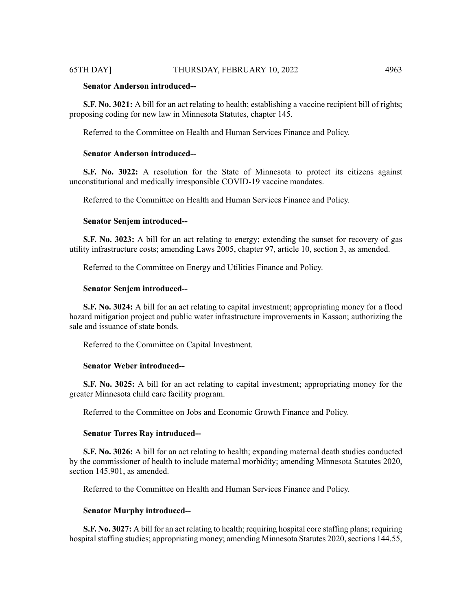### **Senator Anderson introduced--**

**S.F. No. 3021:** A bill for an act relating to health; establishing a vaccine recipient bill of rights; proposing coding for new law in Minnesota Statutes, chapter 145.

Referred to the Committee on Health and Human Services Finance and Policy.

# **Senator Anderson introduced--**

**S.F. No. 3022:** A resolution for the State of Minnesota to protect its citizens against unconstitutional and medically irresponsible COVID-19 vaccine mandates.

Referred to the Committee on Health and Human Services Finance and Policy.

#### **Senator Senjem introduced--**

**S.F. No. 3023:** A bill for an act relating to energy; extending the sunset for recovery of gas utility infrastructure costs; amending Laws 2005, chapter 97, article 10, section 3, as amended.

Referred to the Committee on Energy and Utilities Finance and Policy.

#### **Senator Senjem introduced--**

**S.F. No. 3024:** A bill for an act relating to capital investment; appropriating money for a flood hazard mitigation project and public water infrastructure improvements in Kasson; authorizing the sale and issuance of state bonds.

Referred to the Committee on Capital Investment.

# **Senator Weber introduced--**

**S.F. No. 3025:** A bill for an act relating to capital investment; appropriating money for the greater Minnesota child care facility program.

Referred to the Committee on Jobs and Economic Growth Finance and Policy.

#### **Senator Torres Ray introduced--**

**S.F. No. 3026:** A bill for an act relating to health; expanding maternal death studies conducted by the commissioner of health to include maternal morbidity; amending Minnesota Statutes 2020, section 145.901, as amended.

Referred to the Committee on Health and Human Services Finance and Policy.

#### **Senator Murphy introduced--**

**S.F. No. 3027:** A bill for an act relating to health; requiring hospital core staffing plans; requiring hospital staffing studies; appropriating money; amending Minnesota Statutes 2020, sections 144.55,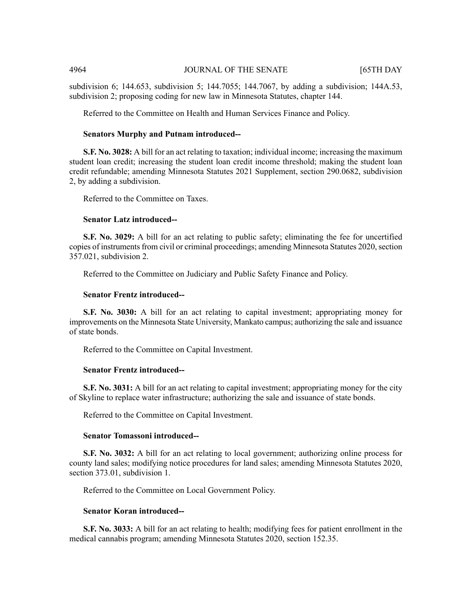subdivision 6; 144.653, subdivision 5; 144.7055; 144.7067, by adding a subdivision; 144A.53, subdivision 2; proposing coding for new law in Minnesota Statutes, chapter 144.

Referred to the Committee on Health and Human Services Finance and Policy.

#### **Senators Murphy and Putnam introduced--**

**S.F. No. 3028:** A bill for an act relating to taxation; individual income; increasing the maximum student loan credit; increasing the student loan credit income threshold; making the student loan credit refundable; amending Minnesota Statutes 2021 Supplement, section 290.0682, subdivision 2, by adding a subdivision.

Referred to the Committee on Taxes.

#### **Senator Latz introduced--**

**S.F. No. 3029:** A bill for an act relating to public safety; eliminating the fee for uncertified copies of instruments from civil or criminal proceedings; amending Minnesota Statutes 2020, section 357.021, subdivision 2.

Referred to the Committee on Judiciary and Public Safety Finance and Policy.

#### **Senator Frentz introduced--**

**S.F. No. 3030:** A bill for an act relating to capital investment; appropriating money for improvements on the Minnesota State University, Mankato campus; authorizing the sale and issuance of state bonds.

Referred to the Committee on Capital Investment.

#### **Senator Frentz introduced--**

**S.F. No. 3031:** A bill for an act relating to capital investment; appropriating money for the city of Skyline to replace water infrastructure; authorizing the sale and issuance of state bonds.

Referred to the Committee on Capital Investment.

#### **Senator Tomassoni introduced--**

**S.F. No. 3032:** A bill for an act relating to local government; authorizing online process for county land sales; modifying notice procedures for land sales; amending Minnesota Statutes 2020, section 373.01, subdivision 1.

Referred to the Committee on Local Government Policy.

### **Senator Koran introduced--**

**S.F. No. 3033:** A bill for an act relating to health; modifying fees for patient enrollment in the medical cannabis program; amending Minnesota Statutes 2020, section 152.35.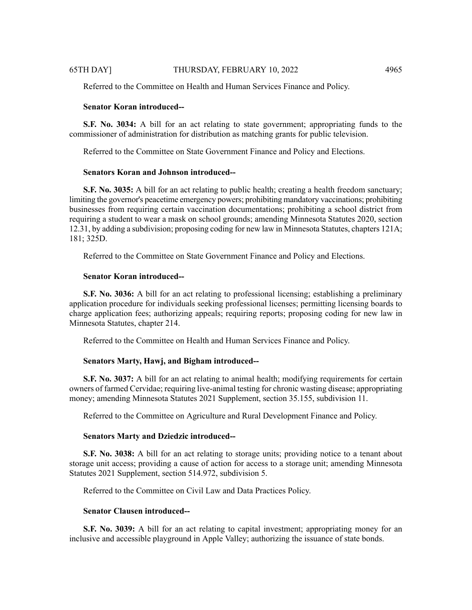Referred to the Committee on Health and Human Services Finance and Policy.

# **Senator Koran introduced--**

**S.F. No. 3034:** A bill for an act relating to state government; appropriating funds to the commissioner of administration for distribution as matching grants for public television.

Referred to the Committee on State Government Finance and Policy and Elections.

#### **Senators Koran and Johnson introduced--**

**S.F. No. 3035:** A bill for an act relating to public health; creating a health freedom sanctuary; limiting the governor's peacetime emergency powers; prohibiting mandatory vaccinations; prohibiting businesses from requiring certain vaccination documentations; prohibiting a school district from requiring a student to wear a mask on school grounds; amending Minnesota Statutes 2020, section 12.31, by adding a subdivision; proposing coding for new law in Minnesota Statutes, chapters 121A; 181; 325D.

Referred to the Committee on State Government Finance and Policy and Elections.

#### **Senator Koran introduced--**

**S.F. No. 3036:** A bill for an act relating to professional licensing; establishing a preliminary application procedure for individuals seeking professional licenses; permitting licensing boards to charge application fees; authorizing appeals; requiring reports; proposing coding for new law in Minnesota Statutes, chapter 214.

Referred to the Committee on Health and Human Services Finance and Policy.

#### **Senators Marty, Hawj, and Bigham introduced--**

**S.F.** No. 3037: A bill for an act relating to animal health; modifying requirements for certain owners of farmed Cervidae; requiring live-animal testing for chronic wasting disease; appropriating money; amending Minnesota Statutes 2021 Supplement, section 35.155, subdivision 11.

Referred to the Committee on Agriculture and Rural Development Finance and Policy.

#### **Senators Marty and Dziedzic introduced--**

**S.F. No. 3038:** A bill for an act relating to storage units; providing notice to a tenant about storage unit access; providing a cause of action for access to a storage unit; amending Minnesota Statutes 2021 Supplement, section 514.972, subdivision 5.

Referred to the Committee on Civil Law and Data Practices Policy.

# **Senator Clausen introduced--**

**S.F. No. 3039:** A bill for an act relating to capital investment; appropriating money for an inclusive and accessible playground in Apple Valley; authorizing the issuance of state bonds.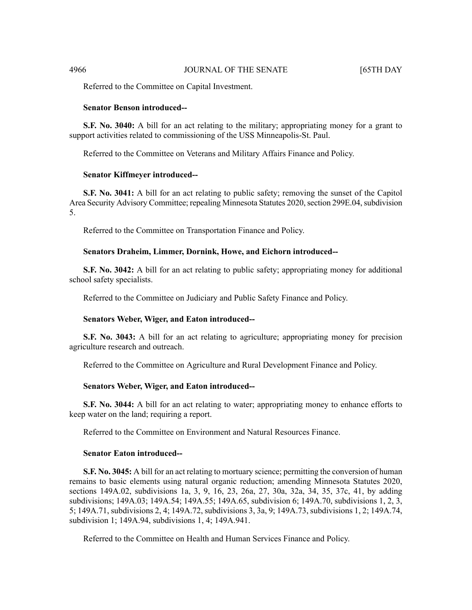Referred to the Committee on Capital Investment.

# **Senator Benson introduced--**

**S.F. No. 3040:** A bill for an act relating to the military; appropriating money for a grant to support activities related to commissioning of the USS Minneapolis-St. Paul.

Referred to the Committee on Veterans and Military Affairs Finance and Policy.

#### **Senator Kiffmeyer introduced--**

**S.F.** No. 3041: A bill for an act relating to public safety; removing the sunset of the Capitol Area Security Advisory Committee; repealing Minnesota Statutes 2020, section 299E.04, subdivision 5.

Referred to the Committee on Transportation Finance and Policy.

#### **Senators Draheim, Limmer, Dornink, Howe, and Eichorn introduced--**

**S.F. No. 3042:** A bill for an act relating to public safety; appropriating money for additional school safety specialists.

Referred to the Committee on Judiciary and Public Safety Finance and Policy.

#### **Senators Weber, Wiger, and Eaton introduced--**

**S.F. No. 3043:** A bill for an act relating to agriculture; appropriating money for precision agriculture research and outreach.

Referred to the Committee on Agriculture and Rural Development Finance and Policy.

### **Senators Weber, Wiger, and Eaton introduced--**

**S.F. No. 3044:** A bill for an act relating to water; appropriating money to enhance efforts to keep water on the land; requiring a report.

Referred to the Committee on Environment and Natural Resources Finance.

#### **Senator Eaton introduced--**

**S.F. No. 3045:** A bill for an act relating to mortuary science; permitting the conversion of human remains to basic elements using natural organic reduction; amending Minnesota Statutes 2020, sections 149A.02, subdivisions 1a, 3, 9, 16, 23, 26a, 27, 30a, 32a, 34, 35, 37c, 41, by adding subdivisions; 149A.03; 149A.54; 149A.55; 149A.65, subdivision 6; 149A.70, subdivisions 1, 2, 3, 5; 149A.71, subdivisions 2, 4; 149A.72, subdivisions 3, 3a, 9; 149A.73, subdivisions 1, 2; 149A.74, subdivision 1; 149A.94, subdivisions 1, 4; 149A.941.

Referred to the Committee on Health and Human Services Finance and Policy.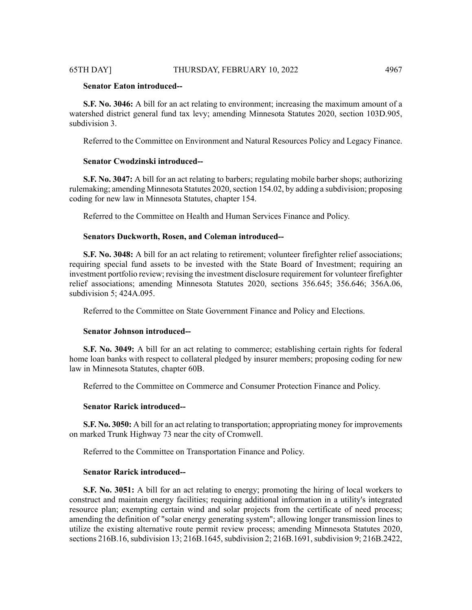# **Senator Eaton introduced--**

**S.F. No. 3046:** A bill for an act relating to environment; increasing the maximum amount of a watershed district general fund tax levy; amending Minnesota Statutes 2020, section 103D.905, subdivision 3.

Referred to the Committee on Environment and Natural Resources Policy and Legacy Finance.

# **Senator Cwodzinski introduced--**

**S.F. No. 3047:** A bill for an act relating to barbers; regulating mobile barber shops; authorizing rulemaking; amending Minnesota Statutes 2020, section 154.02, by adding a subdivision; proposing coding for new law in Minnesota Statutes, chapter 154.

Referred to the Committee on Health and Human Services Finance and Policy.

# **Senators Duckworth, Rosen, and Coleman introduced--**

**S.F. No. 3048:** A bill for an act relating to retirement; volunteer firefighter relief associations; requiring special fund assets to be invested with the State Board of Investment; requiring an investment portfolio review; revising the investment disclosure requirement for volunteer firefighter relief associations; amending Minnesota Statutes 2020, sections 356.645; 356.646; 356A.06, subdivision 5; 424A.095.

Referred to the Committee on State Government Finance and Policy and Elections.

#### **Senator Johnson introduced--**

**S.F. No. 3049:** A bill for an act relating to commerce; establishing certain rights for federal home loan banks with respect to collateral pledged by insurer members; proposing coding for new law in Minnesota Statutes, chapter 60B.

Referred to the Committee on Commerce and Consumer Protection Finance and Policy.

#### **Senator Rarick introduced--**

**S.F. No. 3050:** A bill for an act relating to transportation; appropriating money for improvements on marked Trunk Highway 73 near the city of Cromwell.

Referred to the Committee on Transportation Finance and Policy.

#### **Senator Rarick introduced--**

**S.F. No. 3051:** A bill for an act relating to energy; promoting the hiring of local workers to construct and maintain energy facilities; requiring additional information in a utility's integrated resource plan; exempting certain wind and solar projects from the certificate of need process; amending the definition of "solar energy generating system"; allowing longer transmission lines to utilize the existing alternative route permit review process; amending Minnesota Statutes 2020, sections 216B.16, subdivision 13; 216B.1645, subdivision 2; 216B.1691, subdivision 9; 216B.2422,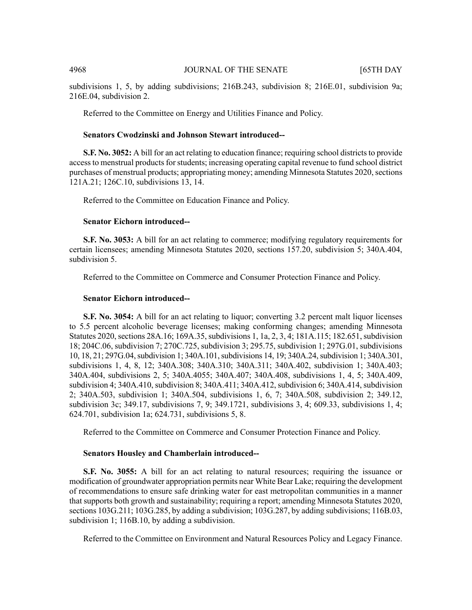subdivisions 1, 5, by adding subdivisions; 216B.243, subdivision 8; 216E.01, subdivision 9a; 216E.04, subdivision 2.

Referred to the Committee on Energy and Utilities Finance and Policy.

#### **Senators Cwodzinski and Johnson Stewart introduced--**

**S.F.** No. 3052: A bill for an act relating to education finance; requiring school districts to provide access to menstrual products for students; increasing operating capital revenue to fund school district purchases of menstrual products; appropriating money; amending Minnesota Statutes 2020, sections 121A.21; 126C.10, subdivisions 13, 14.

Referred to the Committee on Education Finance and Policy.

#### **Senator Eichorn introduced--**

**S.F. No. 3053:** A bill for an act relating to commerce; modifying regulatory requirements for certain licensees; amending Minnesota Statutes 2020, sections 157.20, subdivision 5; 340A.404, subdivision 5.

Referred to the Committee on Commerce and Consumer Protection Finance and Policy.

#### **Senator Eichorn introduced--**

**S.F. No. 3054:** A bill for an act relating to liquor; converting 3.2 percent malt liquor licenses to 5.5 percent alcoholic beverage licenses; making conforming changes; amending Minnesota Statutes 2020, sections 28A.16; 169A.35, subdivisions 1, 1a, 2, 3, 4; 181A.115; 182.651, subdivision 18; 204C.06, subdivision 7; 270C.725, subdivision 3; 295.75, subdivision 1; 297G.01, subdivisions 10, 18, 21; 297G.04,subdivision 1; 340A.101,subdivisions 14, 19; 340A.24,subdivision 1; 340A.301, subdivisions 1, 4, 8, 12; 340A.308; 340A.310; 340A.311; 340A.402, subdivision 1; 340A.403; 340A.404, subdivisions 2, 5; 340A.4055; 340A.407; 340A.408, subdivisions 1, 4, 5; 340A.409, subdivision 4; 340A.410, subdivision 8; 340A.411; 340A.412, subdivision 6; 340A.414, subdivision 2; 340A.503, subdivision 1; 340A.504, subdivisions 1, 6, 7; 340A.508, subdivision 2; 349.12, subdivision 3c; 349.17, subdivisions 7, 9; 349.1721, subdivisions 3, 4; 609.33, subdivisions 1, 4; 624.701, subdivision 1a; 624.731, subdivisions 5, 8.

Referred to the Committee on Commerce and Consumer Protection Finance and Policy.

#### **Senators Housley and Chamberlain introduced--**

**S.F.** No. 3055: A bill for an act relating to natural resources; requiring the issuance or modification of groundwater appropriation permits near White Bear Lake; requiring the development of recommendations to ensure safe drinking water for east metropolitan communities in a manner that supports both growth and sustainability; requiring a report; amending Minnesota Statutes 2020, sections 103G.211; 103G.285, by adding a subdivision; 103G.287, by adding subdivisions; 116B.03, subdivision 1; 116B.10, by adding a subdivision.

Referred to the Committee on Environment and Natural Resources Policy and Legacy Finance.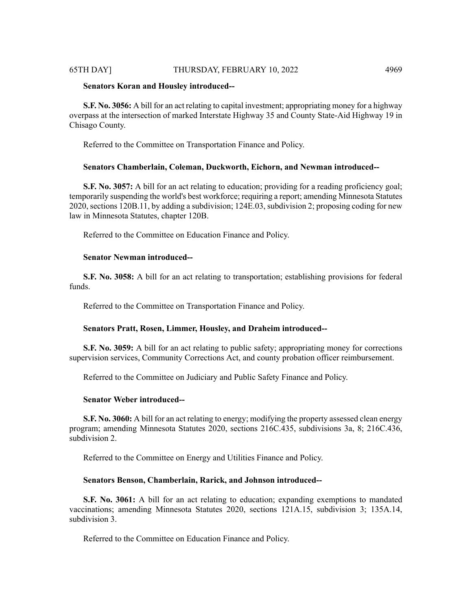# **Senators Koran and Housley introduced--**

**S.F. No. 3056:** A bill for an act relating to capital investment; appropriating money for a highway overpass at the intersection of marked Interstate Highway 35 and County State-Aid Highway 19 in Chisago County.

Referred to the Committee on Transportation Finance and Policy.

### **Senators Chamberlain, Coleman, Duckworth, Eichorn, and Newman introduced--**

**S.F. No. 3057:** A bill for an act relating to education; providing for a reading proficiency goal; temporarily suspending the world's best workforce; requiring a report; amending Minnesota Statutes 2020, sections 120B.11, by adding a subdivision; 124E.03, subdivision 2; proposing coding for new law in Minnesota Statutes, chapter 120B.

Referred to the Committee on Education Finance and Policy.

#### **Senator Newman introduced--**

**S.F. No. 3058:** A bill for an act relating to transportation; establishing provisions for federal funds.

Referred to the Committee on Transportation Finance and Policy.

# **Senators Pratt, Rosen, Limmer, Housley, and Draheim introduced--**

**S.F. No. 3059:** A bill for an act relating to public safety; appropriating money for corrections supervision services, Community Corrections Act, and county probation officer reimbursement.

Referred to the Committee on Judiciary and Public Safety Finance and Policy.

# **Senator Weber introduced--**

**S.F. No. 3060:** A bill for an act relating to energy; modifying the property assessed clean energy program; amending Minnesota Statutes 2020, sections 216C.435, subdivisions 3a, 8; 216C.436, subdivision 2.

Referred to the Committee on Energy and Utilities Finance and Policy.

#### **Senators Benson, Chamberlain, Rarick, and Johnson introduced--**

**S.F. No. 3061:** A bill for an act relating to education; expanding exemptions to mandated vaccinations; amending Minnesota Statutes 2020, sections 121A.15, subdivision 3; 135A.14, subdivision 3.

Referred to the Committee on Education Finance and Policy.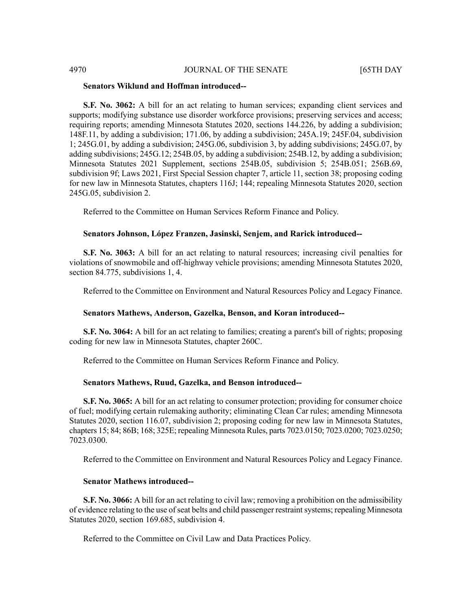#### **Senators Wiklund and Hoffman introduced--**

**S.F. No. 3062:** A bill for an act relating to human services; expanding client services and supports; modifying substance use disorder workforce provisions; preserving services and access; requiring reports; amending Minnesota Statutes 2020, sections 144.226, by adding a subdivision; 148F.11, by adding a subdivision; 171.06, by adding a subdivision; 245A.19; 245F.04, subdivision 1; 245G.01, by adding a subdivision; 245G.06, subdivision 3, by adding subdivisions; 245G.07, by adding subdivisions; 245G.12; 254B.05, by adding a subdivision; 254B.12, by adding a subdivision; Minnesota Statutes 2021 Supplement, sections 254B.05, subdivision 5; 254B.051; 256B.69, subdivision 9f; Laws 2021, First Special Session chapter 7, article 11, section 38; proposing coding for new law in Minnesota Statutes, chapters 116J; 144; repealing Minnesota Statutes 2020, section 245G.05, subdivision 2.

Referred to the Committee on Human Services Reform Finance and Policy.

### **Senators Johnson, López Franzen, Jasinski, Senjem, and Rarick introduced--**

**S.F. No. 3063:** A bill for an act relating to natural resources; increasing civil penalties for violations of snowmobile and off-highway vehicle provisions; amending Minnesota Statutes 2020, section 84.775, subdivisions 1, 4.

Referred to the Committee on Environment and Natural Resources Policy and Legacy Finance.

# **Senators Mathews, Anderson, Gazelka, Benson, and Koran introduced--**

**S.F. No. 3064:** A bill for an act relating to families; creating a parent's bill of rights; proposing coding for new law in Minnesota Statutes, chapter 260C.

Referred to the Committee on Human Services Reform Finance and Policy.

#### **Senators Mathews, Ruud, Gazelka, and Benson introduced--**

**S.F. No. 3065:** A bill for an act relating to consumer protection; providing for consumer choice of fuel; modifying certain rulemaking authority; eliminating Clean Car rules; amending Minnesota Statutes 2020, section 116.07, subdivision 2; proposing coding for new law in Minnesota Statutes, chapters 15; 84; 86B; 168; 325E; repealing Minnesota Rules, parts 7023.0150; 7023.0200; 7023.0250; 7023.0300.

Referred to the Committee on Environment and Natural Resources Policy and Legacy Finance.

# **Senator Mathews introduced--**

**S.F. No. 3066:** A bill for an act relating to civil law; removing a prohibition on the admissibility of evidence relating to the use of seat belts and child passenger restraint systems; repealing Minnesota Statutes 2020, section 169.685, subdivision 4.

Referred to the Committee on Civil Law and Data Practices Policy.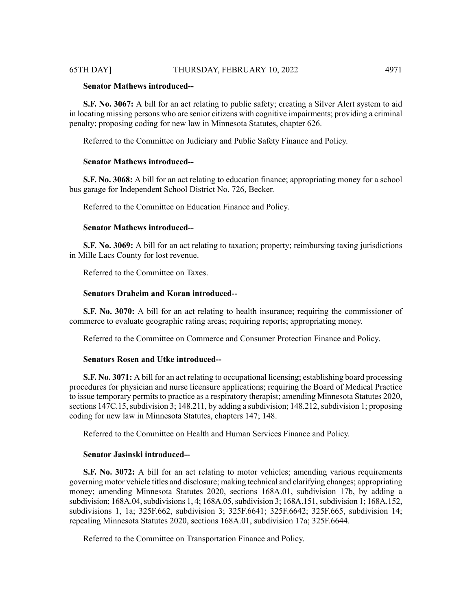# **Senator Mathews introduced--**

**S.F. No. 3067:** A bill for an act relating to public safety; creating a Silver Alert system to aid in locating missing persons who are senior citizens with cognitive impairments; providing a criminal penalty; proposing coding for new law in Minnesota Statutes, chapter 626.

Referred to the Committee on Judiciary and Public Safety Finance and Policy.

#### **Senator Mathews introduced--**

**S.F. No. 3068:** A bill for an act relating to education finance; appropriating money for a school bus garage for Independent School District No. 726, Becker.

Referred to the Committee on Education Finance and Policy.

#### **Senator Mathews introduced--**

**S.F. No. 3069:** A bill for an act relating to taxation; property; reimbursing taxing jurisdictions in Mille Lacs County for lost revenue.

Referred to the Committee on Taxes.

# **Senators Draheim and Koran introduced--**

**S.F. No. 3070:** A bill for an act relating to health insurance; requiring the commissioner of commerce to evaluate geographic rating areas; requiring reports; appropriating money.

Referred to the Committee on Commerce and Consumer Protection Finance and Policy.

# **Senators Rosen and Utke introduced--**

**S.F. No. 3071:** A bill for an act relating to occupational licensing; establishing board processing procedures for physician and nurse licensure applications; requiring the Board of Medical Practice to issue temporary permits to practice as a respiratory therapist; amending Minnesota Statutes 2020, sections  $147C.15$ , subdivision 3;  $148.211$ , by adding a subdivision;  $148.212$ , subdivision 1; proposing coding for new law in Minnesota Statutes, chapters 147; 148.

Referred to the Committee on Health and Human Services Finance and Policy.

# **Senator Jasinski introduced--**

**S.F. No. 3072:** A bill for an act relating to motor vehicles; amending various requirements governing motor vehicle titles and disclosure; making technical and clarifying changes; appropriating money; amending Minnesota Statutes 2020, sections 168A.01, subdivision 17b, by adding a subdivision; 168A.04, subdivisions 1, 4; 168A.05, subdivision 3; 168A.151, subdivision 1; 168A.152, subdivisions 1, 1a; 325F.662, subdivision 3; 325F.6641; 325F.6642; 325F.665, subdivision 14; repealing Minnesota Statutes 2020, sections 168A.01, subdivision 17a; 325F.6644.

Referred to the Committee on Transportation Finance and Policy.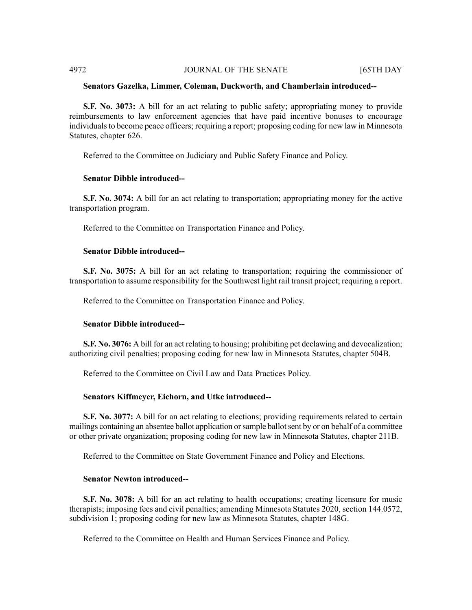# **Senators Gazelka, Limmer, Coleman, Duckworth, and Chamberlain introduced--**

**S.F. No. 3073:** A bill for an act relating to public safety; appropriating money to provide reimbursements to law enforcement agencies that have paid incentive bonuses to encourage individuals to become peace officers; requiring a report; proposing coding for new law in Minnesota Statutes, chapter 626.

Referred to the Committee on Judiciary and Public Safety Finance and Policy.

# **Senator Dibble introduced--**

**S.F. No. 3074:** A bill for an act relating to transportation; appropriating money for the active transportation program.

Referred to the Committee on Transportation Finance and Policy.

# **Senator Dibble introduced--**

**S.F. No. 3075:** A bill for an act relating to transportation; requiring the commissioner of transportation to assume responsibility for the Southwest light rail transit project; requiring a report.

Referred to the Committee on Transportation Finance and Policy.

# **Senator Dibble introduced--**

**S.F. No. 3076:** A bill for an act relating to housing; prohibiting pet declawing and devocalization; authorizing civil penalties; proposing coding for new law in Minnesota Statutes, chapter 504B.

Referred to the Committee on Civil Law and Data Practices Policy.

# **Senators Kiffmeyer, Eichorn, and Utke introduced--**

**S.F. No. 3077:** A bill for an act relating to elections; providing requirements related to certain mailings containing an absentee ballot application orsample ballotsent by or on behalf of a committee or other private organization; proposing coding for new law in Minnesota Statutes, chapter 211B.

Referred to the Committee on State Government Finance and Policy and Elections.

# **Senator Newton introduced--**

**S.F. No. 3078:** A bill for an act relating to health occupations; creating licensure for music therapists; imposing fees and civil penalties; amending Minnesota Statutes 2020, section 144.0572, subdivision 1; proposing coding for new law as Minnesota Statutes, chapter 148G.

Referred to the Committee on Health and Human Services Finance and Policy.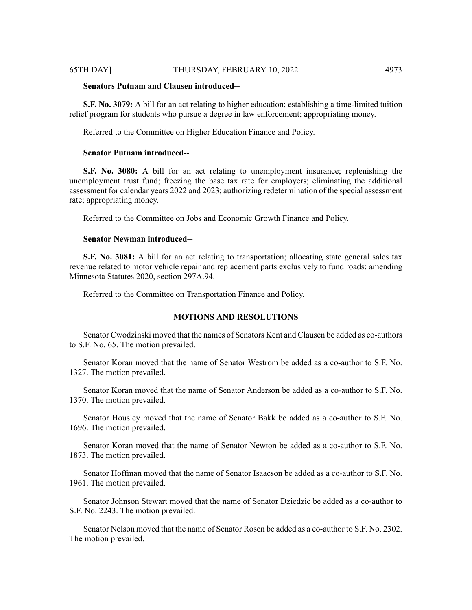### **Senators Putnam and Clausen introduced--**

**S.F. No. 3079:** A bill for an act relating to higher education; establishing a time-limited tuition relief program for students who pursue a degree in law enforcement; appropriating money.

Referred to the Committee on Higher Education Finance and Policy.

# **Senator Putnam introduced--**

**S.F. No. 3080:** A bill for an act relating to unemployment insurance; replenishing the unemployment trust fund; freezing the base tax rate for employers; eliminating the additional assessment for calendar years 2022 and 2023; authorizing redetermination of the special assessment rate; appropriating money.

Referred to the Committee on Jobs and Economic Growth Finance and Policy.

# **Senator Newman introduced--**

**S.F. No. 3081:** A bill for an act relating to transportation; allocating state general sales tax revenue related to motor vehicle repair and replacement parts exclusively to fund roads; amending Minnesota Statutes 2020, section 297A.94.

Referred to the Committee on Transportation Finance and Policy.

# **MOTIONS AND RESOLUTIONS**

Senator Cwodzinski moved that the names of Senators Kent and Clausen be added as co-authors to S.F. No. 65. The motion prevailed.

Senator Koran moved that the name of Senator Westrom be added as a co-author to S.F. No. 1327. The motion prevailed.

Senator Koran moved that the name of Senator Anderson be added as a co-author to S.F. No. 1370. The motion prevailed.

Senator Housley moved that the name of Senator Bakk be added as a co-author to S.F. No. 1696. The motion prevailed.

Senator Koran moved that the name of Senator Newton be added as a co-author to S.F. No. 1873. The motion prevailed.

Senator Hoffman moved that the name of Senator Isaacson be added as a co-author to S.F. No. 1961. The motion prevailed.

Senator Johnson Stewart moved that the name of Senator Dziedzic be added as a co-author to S.F. No. 2243. The motion prevailed.

Senator Nelson moved that the name of Senator Rosen be added as a co-author to S.F. No. 2302. The motion prevailed.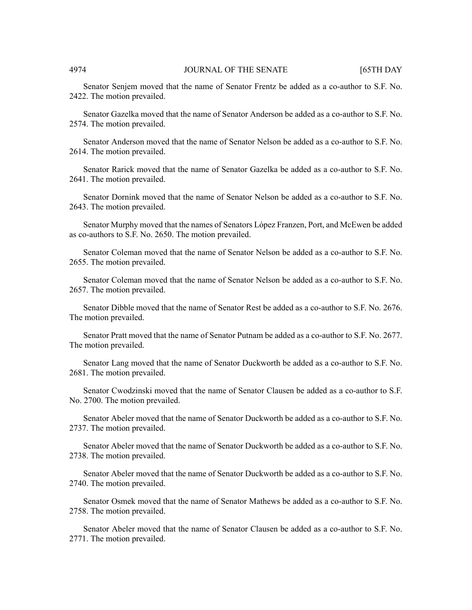Senator Senjem moved that the name of Senator Frentz be added as a co-author to S.F. No. 2422. The motion prevailed.

Senator Gazelka moved that the name of Senator Anderson be added as a co-author to S.F. No. 2574. The motion prevailed.

Senator Anderson moved that the name of Senator Nelson be added as a co-author to S.F. No. 2614. The motion prevailed.

Senator Rarick moved that the name of Senator Gazelka be added as a co-author to S.F. No. 2641. The motion prevailed.

Senator Dornink moved that the name of Senator Nelson be added as a co-author to S.F. No. 2643. The motion prevailed.

Senator Murphy moved that the names of Senators López Franzen, Port, and McEwen be added as co-authors to S.F. No. 2650. The motion prevailed.

Senator Coleman moved that the name of Senator Nelson be added as a co-author to S.F. No. 2655. The motion prevailed.

Senator Coleman moved that the name of Senator Nelson be added as a co-author to S.F. No. 2657. The motion prevailed.

Senator Dibble moved that the name of Senator Rest be added as a co-author to S.F. No. 2676. The motion prevailed.

Senator Pratt moved that the name of Senator Putnam be added as a co-author to S.F. No. 2677. The motion prevailed.

Senator Lang moved that the name of Senator Duckworth be added as a co-author to S.F. No. 2681. The motion prevailed.

Senator Cwodzinski moved that the name of Senator Clausen be added as a co-author to S.F. No. 2700. The motion prevailed.

Senator Abeler moved that the name of Senator Duckworth be added as a co-author to S.F. No. 2737. The motion prevailed.

Senator Abeler moved that the name of Senator Duckworth be added as a co-author to S.F. No. 2738. The motion prevailed.

Senator Abeler moved that the name of Senator Duckworth be added as a co-author to S.F. No. 2740. The motion prevailed.

Senator Osmek moved that the name of Senator Mathews be added as a co-author to S.F. No. 2758. The motion prevailed.

Senator Abeler moved that the name of Senator Clausen be added as a co-author to S.F. No. 2771. The motion prevailed.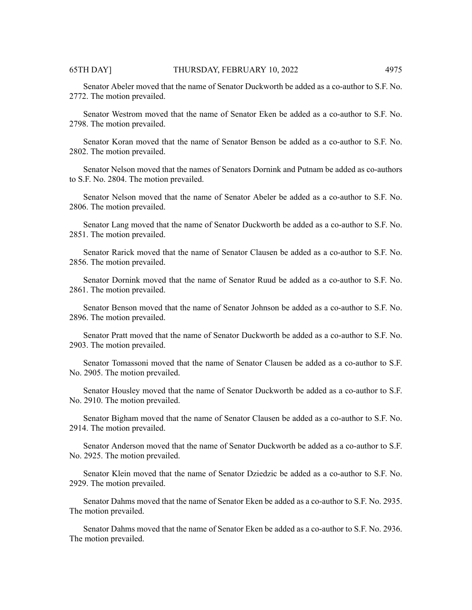Senator Abeler moved that the name of Senator Duckworth be added as a co-author to S.F. No. 2772. The motion prevailed.

Senator Westrom moved that the name of Senator Eken be added as a co-author to S.F. No. 2798. The motion prevailed.

Senator Koran moved that the name of Senator Benson be added as a co-author to S.F. No. 2802. The motion prevailed.

Senator Nelson moved that the names of Senators Dornink and Putnam be added as co-authors to S.F. No. 2804. The motion prevailed.

Senator Nelson moved that the name of Senator Abeler be added as a co-author to S.F. No. 2806. The motion prevailed.

Senator Lang moved that the name of Senator Duckworth be added as a co-author to S.F. No. 2851. The motion prevailed.

Senator Rarick moved that the name of Senator Clausen be added as a co-author to S.F. No. 2856. The motion prevailed.

Senator Dornink moved that the name of Senator Ruud be added as a co-author to S.F. No. 2861. The motion prevailed.

Senator Benson moved that the name of Senator Johnson be added as a co-author to S.F. No. 2896. The motion prevailed.

Senator Pratt moved that the name of Senator Duckworth be added as a co-author to S.F. No. 2903. The motion prevailed.

Senator Tomassoni moved that the name of Senator Clausen be added as a co-author to S.F. No. 2905. The motion prevailed.

Senator Housley moved that the name of Senator Duckworth be added as a co-author to S.F. No. 2910. The motion prevailed.

Senator Bigham moved that the name of Senator Clausen be added as a co-author to S.F. No. 2914. The motion prevailed.

Senator Anderson moved that the name of Senator Duckworth be added as a co-author to S.F. No. 2925. The motion prevailed.

Senator Klein moved that the name of Senator Dziedzic be added as a co-author to S.F. No. 2929. The motion prevailed.

Senator Dahms moved that the name of Senator Eken be added as a co-author to S.F. No. 2935. The motion prevailed.

Senator Dahms moved that the name of Senator Eken be added as a co-author to S.F. No. 2936. The motion prevailed.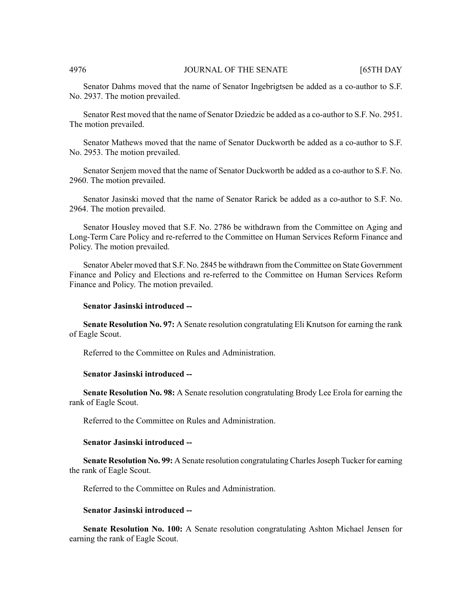Senator Dahms moved that the name of Senator Ingebrigtsen be added as a co-author to S.F. No. 2937. The motion prevailed.

Senator Rest moved that the name of Senator Dziedzic be added as a co-author to S.F. No. 2951. The motion prevailed.

Senator Mathews moved that the name of Senator Duckworth be added as a co-author to S.F. No. 2953. The motion prevailed.

Senator Senjem moved that the name of Senator Duckworth be added as a co-author to S.F. No. 2960. The motion prevailed.

Senator Jasinski moved that the name of Senator Rarick be added as a co-author to S.F. No. 2964. The motion prevailed.

Senator Housley moved that S.F. No. 2786 be withdrawn from the Committee on Aging and Long-Term Care Policy and re-referred to the Committee on Human Services Reform Finance and Policy. The motion prevailed.

Senator Abeler moved that S.F. No. 2845 be withdrawn from the Committee on State Government Finance and Policy and Elections and re-referred to the Committee on Human Services Reform Finance and Policy. The motion prevailed.

#### **Senator Jasinski introduced --**

**Senate Resolution No. 97:** A Senate resolution congratulating Eli Knutson for earning the rank of Eagle Scout.

Referred to the Committee on Rules and Administration.

#### **Senator Jasinski introduced --**

**Senate Resolution No. 98:** A Senate resolution congratulating Brody Lee Erola for earning the rank of Eagle Scout.

Referred to the Committee on Rules and Administration.

# **Senator Jasinski introduced --**

**Senate Resolution No. 99:** A Senate resolution congratulating Charles Joseph Tucker for earning the rank of Eagle Scout.

Referred to the Committee on Rules and Administration.

#### **Senator Jasinski introduced --**

**Senate Resolution No. 100:** A Senate resolution congratulating Ashton Michael Jensen for earning the rank of Eagle Scout.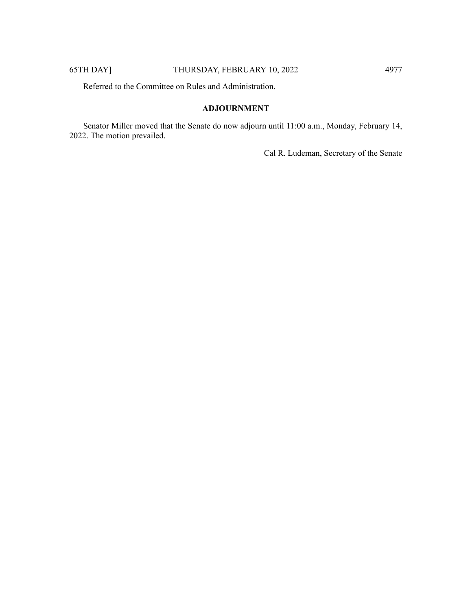Referred to the Committee on Rules and Administration.

# **ADJOURNMENT**

Senator Miller moved that the Senate do now adjourn until 11:00 a.m., Monday, February 14, 2022. The motion prevailed.

Cal R. Ludeman, Secretary of the Senate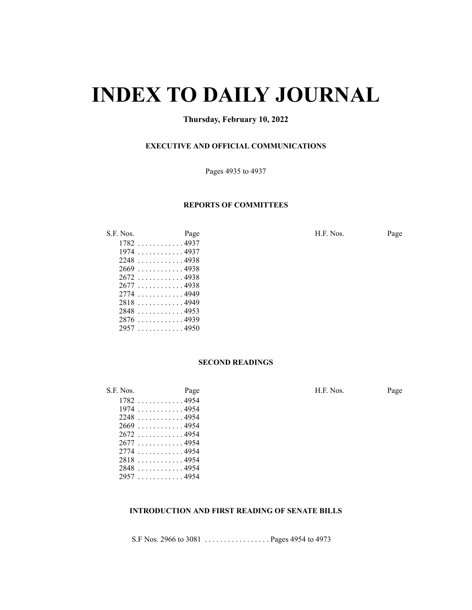# **INDEX TO DAILY JOURNAL**

# **Thursday, February 10, 2022**

# **EXECUTIVE AND OFFICIAL COMMUNICATIONS**

Pages 4935 to 4937

# **REPORTS OF COMMITTEES**

| 1782 | . 4937 |
|------|--------|
| 1974 | . 4937 |
| 2248 | . 4938 |
| 2669 | . 4938 |
| 2672 | . 4938 |
| 2677 | . 4938 |
| 2774 | . 4949 |
| 2818 | . 4949 |
| 2848 | . 4953 |
| 2876 | . 4939 |
| 2957 | . 4950 |
|      |        |

S.F. Nos. Page Page H.F. Nos. Page

#### **SECOND READINGS**

| .F. NOS. | <b>Page</b>        |  |
|----------|--------------------|--|
|          | $1782$ 4954        |  |
| 1974     | . 4954             |  |
| 2248     | . 4954             |  |
|          | $2669 \dots $ 4954 |  |
|          | 2672 4954          |  |
|          | 2677 4954          |  |
|          | 2774 4954          |  |
|          | 28184954           |  |
|          | $2848 \ldots$      |  |
|          | 2957 4954          |  |

S.F. Nos. Page Page H.F. Nos. Page

# **INTRODUCTION AND FIRST READING OF SENATE BILLS**

S.F Nos. 2966 to 3081 . . . . . . . . . . . . . . . . . Pages 4954 to 4973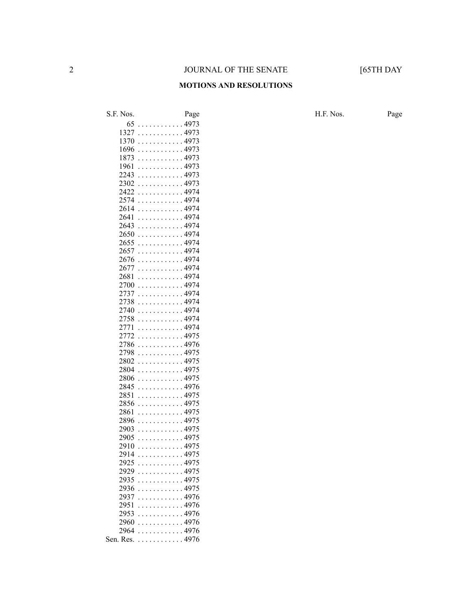#### **MOTIONS AND RESOLUTIONS**

S.F. Nos. Page Page Page H.F. Nos. Page . . . . . . . . . . . . 4973 . . . . . . . . . . . . 4973 . . . . . . . . . . . . 4973 . . . . . . . . . . . . 4973 . . . . . . . . . . . . 4973 . . . . . . . . . . . . 4973 . . . . . . . . . . . . 4973 . . . . . . . . . . . . 4973 . . . . . . . . . . . . 4974 . . . . . . . . . . . . 4974 . . . . . . . . . . . . 4974 . . . . . . . . . . . . 4974 . . . . . . . . . . . . 4974 . . . . . . . . . . . . 4974 . . . . . . . . . . . . 4974 . . . . . . . . . . . . 4974 . . . . . . . . . . . . 4974 . . . . . . . . . . . . 4974 . . . . . . . . . . . . 4974 . . . . . . . . . . . . 4974 . . . . . . . . . . . . 4974 . . . . . . . . . . . . 4974 . . . . . . . . . . . . 4974 . . . . . . . . . . . . 4974 . . . . . . . . . . . . 4974 . . . . . . . . . . . . 4975 . . . . . . . . . . . . 4976 . . . . . . . . . . . . 4975 . . . . . . . . . . . . 4975 . . . . . . . . . . . . 4975 . . . . . . . . . . . . 4975 . . . . . . . . . . . . 4976 . . . . . . . . . . . . 4975 . . . . . . . . . . . . 4975 . . . . . . . . . . . . 4975 . . . . . . . . . . . . 4975 . . . . . . . . . . . . 4975 . . . . . . . . . . . . 4975 . . . . . . . . . . . . 4975 . . . . . . . . . . . . 4975 . . . . . . . . . . . . 4975 . . . . . . . . . . . . 4975 . . . . . . . . . . . . 4975 . . . . . . . . . . . . 4975 . . . . . . . . . . . . 4976 . . . . . . . . . . . . 4976 . . . . . . . . . . . . 4976 . . . . . . . . . . . . 4976 . . . . . . . . . . . . 4976 Sen. Res. . . . . . . . . . . . . 4976